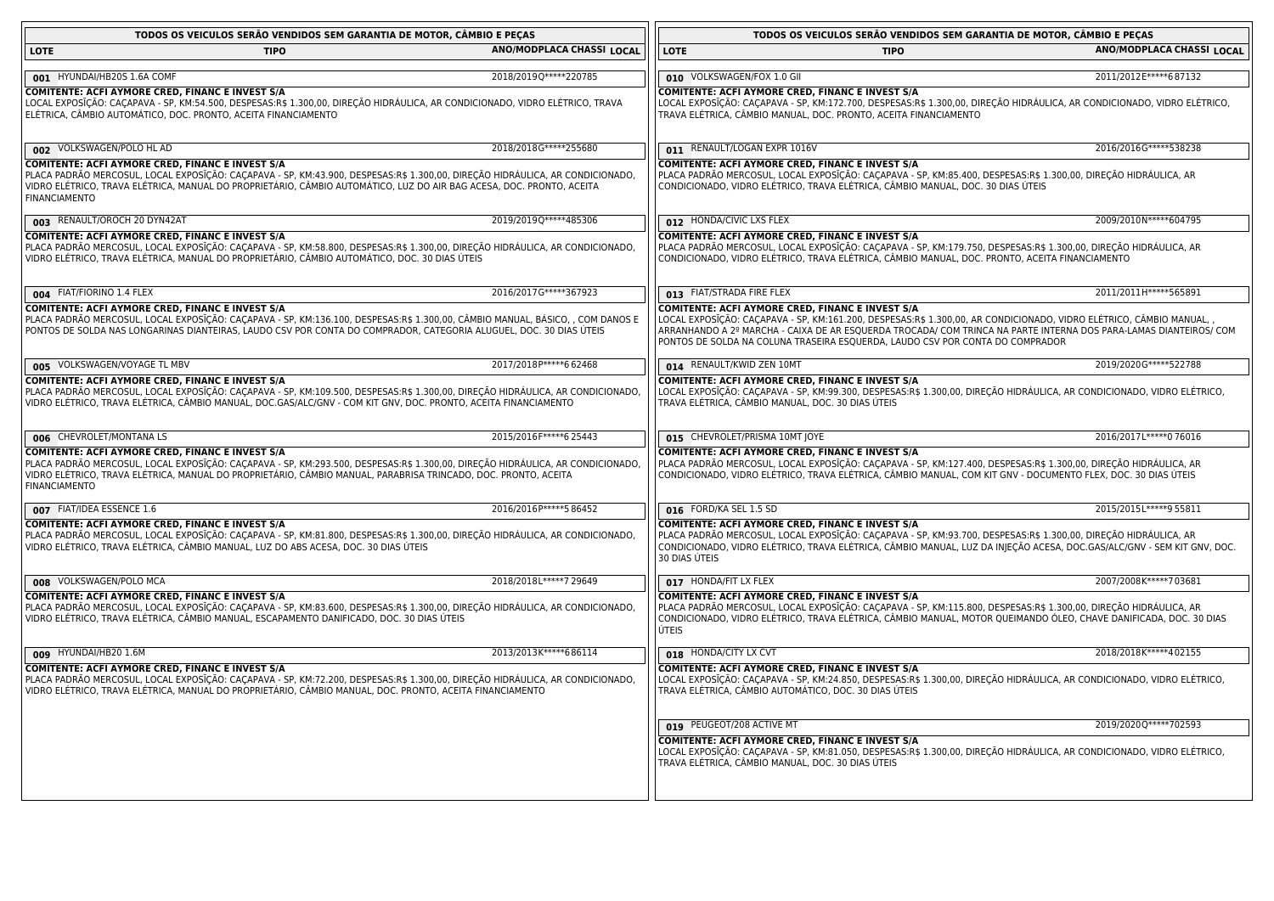| TODOS OS VEICULOS SERÃO VENDIDOS SEM GARANTIA DE MOTOR, CÂMBIO E PEÇAS                                                                                                                                                                                                                                                                   |                           | TODOS OS VEICULOS SERÃO VENDIDOS SEM GARANTIA DE MOTOR, CAMBIO E PEÇAS                                                                                                                                                                                                                                                                                                       |                           |
|------------------------------------------------------------------------------------------------------------------------------------------------------------------------------------------------------------------------------------------------------------------------------------------------------------------------------------------|---------------------------|------------------------------------------------------------------------------------------------------------------------------------------------------------------------------------------------------------------------------------------------------------------------------------------------------------------------------------------------------------------------------|---------------------------|
| <b>LOTE</b><br><b>TIPO</b>                                                                                                                                                                                                                                                                                                               | ANO/MODPLACA CHASSI LOCAL | <b>LOTE</b><br><b>TIPO</b>                                                                                                                                                                                                                                                                                                                                                   | ANO/MODPLACA CHASSI LOCAL |
|                                                                                                                                                                                                                                                                                                                                          |                           |                                                                                                                                                                                                                                                                                                                                                                              |                           |
| 001 HYUNDAI/HB20S 1.6A COMF                                                                                                                                                                                                                                                                                                              | 2018/2019Q*****220785     | 010 VOLKSWAGEN/FOX 1.0 GII                                                                                                                                                                                                                                                                                                                                                   | 2011/2012 E*****687132    |
| COMITENTE: ACFI AYMORE CRED, FINANC E INVEST S/A<br>LOCAL EXPOSIÇÃO: CAÇAPAVA - SP, KM:54.500, DESPESAS:R\$ 1.300,00, DIREÇÃO HIDRÁULICA, AR CONDICIONADO, VIDRO ELÉTRICO, TRAVA<br>ELÉTRICA, CÂMBIO AUTOMÁTICO, DOC. PRONTO, ACEITA FINANCIAMENTO                                                                                       |                           | COMITENTE: ACFI AYMORE CRED, FINANC E INVEST S/A<br>LOCAL EXPOSIÇÃO: CAÇAPAVA - SP, KM:172.700, DESPESAS:R\$ 1.300,00, DIREÇÃO HIDRÁULICA, AR CONDICIONADO, VIDRO ELÉTRICO,<br>TRAVA ELÉTRICA, CÂMBIO MANUAL, DOC. PRONTO, ACEITA FINANCIAMENTO                                                                                                                              |                           |
| 002 VOLKSWAGEN/POLO HL AD                                                                                                                                                                                                                                                                                                                | 2018/2018G*****255680     | 011 RENAULT/LOGAN EXPR 1016V                                                                                                                                                                                                                                                                                                                                                 | 2016/2016G*****538238     |
| <b>COMITENTE: ACFI AYMORE CRED, FINANC E INVEST S/A</b><br>PLACA PADRÃO MERCOSUL, LOCAL EXPOSIÇÃO: CAÇAPAVA - SP, KM:43.900, DESPESAS:R\$ 1.300,00, DIREÇÃO HIDRÁULICA, AR CONDICIONADO,<br>VIDRO ELÉTRICO, TRAVA ELÉTRICA, MANUAL DO PROPRIETÁRIO, CÃMBIO AUTOMÁTICO, LUZ DO AIR BAG ACESA, DOC. PRONTO, ACEITA<br><b>FINANCIAMENTO</b> |                           | <b>COMITENTE: ACFI AYMORE CRED, FINANC E INVEST S/A</b><br>PLACA PADRÃO MERCOSUL, LOCAL EXPOSIÇÃO: CAÇAPAVA - SP, KM:85.400, DESPESAS:R\$ 1.300,00, DIREÇÃO HIDRÁULICA, AR<br>CONDICIONADO, VIDRO ELÉTRICO, TRAVA ELÉTRICA, CÂMBIO MANUAL, DOC. 30 DIAS ÚTEIS                                                                                                                |                           |
| 003 RENAULT/OROCH 20 DYN42AT                                                                                                                                                                                                                                                                                                             | 2019/2019Q*****485306     | 012 HONDA/CIVIC LXS FLEX                                                                                                                                                                                                                                                                                                                                                     | 2009/2010N*****604795     |
| COMITENTE: ACFI AYMORE CRED, FINANC E INVEST S/A<br>PLACA PADRÃO MERCOSUL, LOCAL EXPOSIÇÃO: CAÇAPAVA - SP, KM:58.800, DESPESAS:R\$ 1.300,00, DIREÇÃO HIDRÁULICA, AR CONDICIONADO,<br>VIDRO ELÉTRICO, TRAVA ELÉTRICA, MANUAL DO PROPRIETÁRIO, CÂMBIO AUTOMÁTICO, DOC. 30 DIAS ÚTEIS                                                       |                           | <b>COMITENTE: ACFI AYMORE CRED, FINANC E INVEST S/A</b><br>PLACA PADRÃO MERCOSUL, LOCAL EXPOSIÇÃO: CAÇAPAVA - SP, KM:179.750, DESPESAS:R\$ 1.300,00, DIREÇÃO HIDRÁULICA, AR<br>CONDICIONADO, VIDRO ELÉTRICO, TRAVA ELÉTRICA, CÂMBIO MANUAL, DOC. PRONTO, ACEITA FINANCIAMENTO                                                                                                |                           |
| 004 FIAT/FIORINO 1.4 FLEX                                                                                                                                                                                                                                                                                                                | 2016/2017G*****367923     | 013 FIAT/STRADA FIRE FLEX                                                                                                                                                                                                                                                                                                                                                    | 2011/2011 H***** 565891   |
| COMITENTE: ACFI AYMORE CRED, FINANC E INVEST S/A<br>PLACA PADRÃO MERCOSUL, LOCAL EXPOSIÇÃO: CAÇAPAVA - SP, KM:136.100, DESPESAS:R\$ 1.300,00, CÂMBIO MANUAL, BÁSICO, , COM DANOS E<br>PONTOS DE SOLDA NAS LONGARINAS DIANTEIRAS, LAUDO CSV POR CONTA DO COMPRADOR, CATEGORIA ALUGUEL, DOC. 30 DIAS ÚTEIS                                 |                           | COMITENTE: ACFI AYMORE CRED, FINANC E INVEST S/A<br>LOCAL EXPOSIÇÃO: CAÇAPAVA - SP, KM:161.200, DESPESAS:R\$ 1.300,00, AR CONDICIONADO, VIDRO ELÉTRICO, CÂMBIO MANUAL,<br>ARRANHANDO A 2º MARCHA - CAIXA DE AR ESQUERDA TROCADA/ COM TRINCA NA PARTE INTERNA DOS PARA-LAMAS DIANTEIROS/ COM<br>PONTOS DE SOLDA NA COLUNA TRASEIRA ESQUERDA, LAUDO CSV POR CONTA DO COMPRADOR |                           |
| 005 VOLKSWAGEN/VOYAGE TL MBV                                                                                                                                                                                                                                                                                                             | 2017/2018P*****662468     | 014 RENAULT/KWID ZEN 10MT                                                                                                                                                                                                                                                                                                                                                    | 2019/2020G*****522788     |
| COMITENTE: ACFI AYMORE CRED, FINANC E INVEST S/A<br>PLACA PADRÃO MERCOSUL, LOCAL EXPOSIÇÃO: CAÇAPAVA - SP, KM:109.500, DESPESAS:R\$ 1.300,00, DIREÇÃO HIDRÁULICA, AR CONDICIONADO,<br>VIDRO ELÉTRICO, TRAVA ELÉTRICA, CÂMBIO MANUAL, DOC.GAS/ALC/GNV - COM KIT GNV, DOC. PRONTO, ACEITA FINANCIAMENTO                                    |                           | <b>COMITENTE: ACFI AYMORE CRED, FINANC E INVEST S/A</b><br>LOCAL EXPOSIÇÃO: CAÇAPAVA - SP, KM:99.300, DESPESAS:R\$ 1.300,00, DIREÇÃO HIDRÁULICA, AR CONDICIONADO, VIDRO ELÉTRICO,<br>TRAVA ELÉTRICA, CÂMBIO MANUAL, DOC. 30 DIAS ÚTEIS                                                                                                                                       |                           |
| 006 CHEVROLET/MONTANA LS                                                                                                                                                                                                                                                                                                                 | 2015/2016 F***** 6 25443  | 015 CHEVROLET/PRISMA 10MT JOYE                                                                                                                                                                                                                                                                                                                                               | 2016/2017L*****076016     |
| COMITENTE: ACFI AYMORE CRED, FINANC E INVEST S/A<br>PLACA PADRÃO MERCOSUL, LOCAL EXPOSIÇÃO: CAÇAPAVA - SP, KM:293.500, DESPESAS:R\$ 1.300,00, DIREÇÃO HIDRÁULICA, AR CONDICIONADO,<br>VIDRO ELÉTRICO, TRAVA ELÉTRICA, MANUAL DO PROPRIETÁRIO, CÂMBIO MANUAL, PARABRISA TRINCADO, DOC. PRONTO, ACEITA<br><b>FINANCIAMENTO</b>             |                           | COMITENTE: ACFI AYMORE CRED, FINANC E INVEST S/A<br>PLACA PADRÃO MERCOSUL, LOCAL EXPOSIÇÃO: CAÇAPAVA - SP, KM:127.400, DESPESAS:R\$ 1.300,00, DIREÇÃO HIDRAULICA, AR<br>CONDICIONADO, VIDRO ELÉTRICO, TRAVA ELÉTRICA, CÂMBIO MANUAL, COM KIT GNV - DOCUMENTO FLEX, DOC. 30 DIAS ÚTEIS                                                                                        |                           |
| 007 FIAT/IDEA ESSENCE 1.6                                                                                                                                                                                                                                                                                                                | 2016/2016 P***** 586452   | 016 FORD/KA SEL 1.5 SD                                                                                                                                                                                                                                                                                                                                                       | 2015/2015L*****9 55811    |
| COMITENTE: ACFI AYMORE CRED, FINANC E INVEST S/A<br>PLACA PADRÃO MERCOSUL, LOCAL EXPOSĪÇÃO: CAÇAPAVA - SP, KM:81.800, DESPESAS:R\$ 1.300,00, DIREÇÃO HIDRAULICA, AR CONDICIONADO,<br>VIDRO ELÉTRICO, TRAVA ELÉTRICA, CÂMBIO MANUAL, LUZ DO ABS ACESA, DOC. 30 DIAS ÚTEIS                                                                 |                           | COMITENTE: ACFI AYMORE CRED, FINANC E INVEST S/A<br>PLACA PADRÃO MERCOSUL, LOCAL EXPOSIÇÃO: CAÇAPAVA - SP, KM:93.700, DESPESAS:R\$ 1.300,00, DIREÇÃO HIDRÁULICA, AR<br>CONDICIONADO, VIDRO ELÉTRICO, TRAVA ELÉTRICA, CÂMBIO MANUAL, LUZ DA INJEÇÃO ACESA, DOC.GAS/ALC/GNV - SEM KIT GNV, DOC.<br>30 DIAS ÚTEIS                                                               |                           |
| 008 VOLKSWAGEN/POLO MCA                                                                                                                                                                                                                                                                                                                  | 2018/2018L*****7 29649    | 017 HONDA/FIT LX FLEX                                                                                                                                                                                                                                                                                                                                                        | 2007/2008K*****703681     |
| COMITENTE: ACFI AYMORE CRED, FINANC E INVEST S/A<br>PLACA PADRÃO MERCOSUL, LOCAL EXPOSIÇÃO: CAÇAPAVA - SP, KM:83.600, DESPESAS:R\$ 1.300,00, DIREÇÃO HIDRÁULICA, AR CONDICIONADO,<br>VIDRO ELÉTRICO, TRAVA ELÉTRICA, CÂMBIO MANUAL, ESCAPAMENTO DANIFICADO, DOC. 30 DIAS ÚTEIS                                                           |                           | COMITENTE: ACFI AYMORE CRED, FINANC E INVEST S/A<br>PLACA PADRÃO MERCOSUL, LOCAL EXPOSIÇÃO: CAÇAPAVA - SP, KM:115.800, DESPESAS:R\$ 1.300,00, DIREÇÃO HIDRÁULICA, AR<br>CONDICIONADO, VIDRO ELÉTRICO, TRAVA ELÉTRICA, CÂMBIO MANUAL, MOTOR QUEIMANDO ÓLEO, CHAVE DANIFICADA, DOC. 30 DIAS<br>ÚTEIS                                                                           |                           |
| 009 HYUNDAI/HB20 1.6M                                                                                                                                                                                                                                                                                                                    | 2013/2013K*****686114     | 018 HONDA/CITY LX CVT                                                                                                                                                                                                                                                                                                                                                        | 2018/2018K*****402155     |
| COMITENTE: ACFI AYMORE CRED, FINANC E INVEST S/A<br>PLACA PADRÃO MERCOSUL, LOCAL EXPOSIÇÃO: CAÇAPAVA - SP, KM:72.200, DESPESAS:R\$ 1.300,00, DIREÇÃO HIDRÁULICA, AR CONDICIONADO,<br>VIDRO ELÈTRICO, TRAVA ELÈTRICA, MANUAL DO PROPRIETÁRIO, CÂMBIO MANUAL, DOC. PRONTO, ACEITA FINANCIAMENTO                                            |                           | <b>COMITENTE: ACFI AYMORE CRED, FINANC E INVEST S/A</b><br>LOCAL EXPOSĨÇÃO: CAÇAPAVA - SP, KM:24.850, DESPESAS:R\$ 1.300,00, DIREÇÃO HIDRÁULICA, AR CONDICIONADO, VIDRO ELÉTRICO,<br>TRAVA ELÉTRICA, CÂMBIO AUTOMÁTICO, DOC. 30 DIAS ÚTEIS                                                                                                                                   |                           |
|                                                                                                                                                                                                                                                                                                                                          |                           | 019 PEUGEOT/208 ACTIVE MT                                                                                                                                                                                                                                                                                                                                                    | 2019/2020Q*****702593     |
|                                                                                                                                                                                                                                                                                                                                          |                           | COMITENTE: ACFI AYMORE CRED, FINANC E INVEST S/A<br>LOCAL EXPOSIÇÃO: CAÇAPAVA - SP, KM:81.050, DESPESAS:R\$ 1.300,00, DIREÇÃO HIDRÁULICA, AR CONDICIONADO, VIDRO ELÉTRICO,<br>TRAVA ELÉTRICA, CÂMBIO MANUAL, DOC. 30 DIAS ÚTEIS                                                                                                                                              |                           |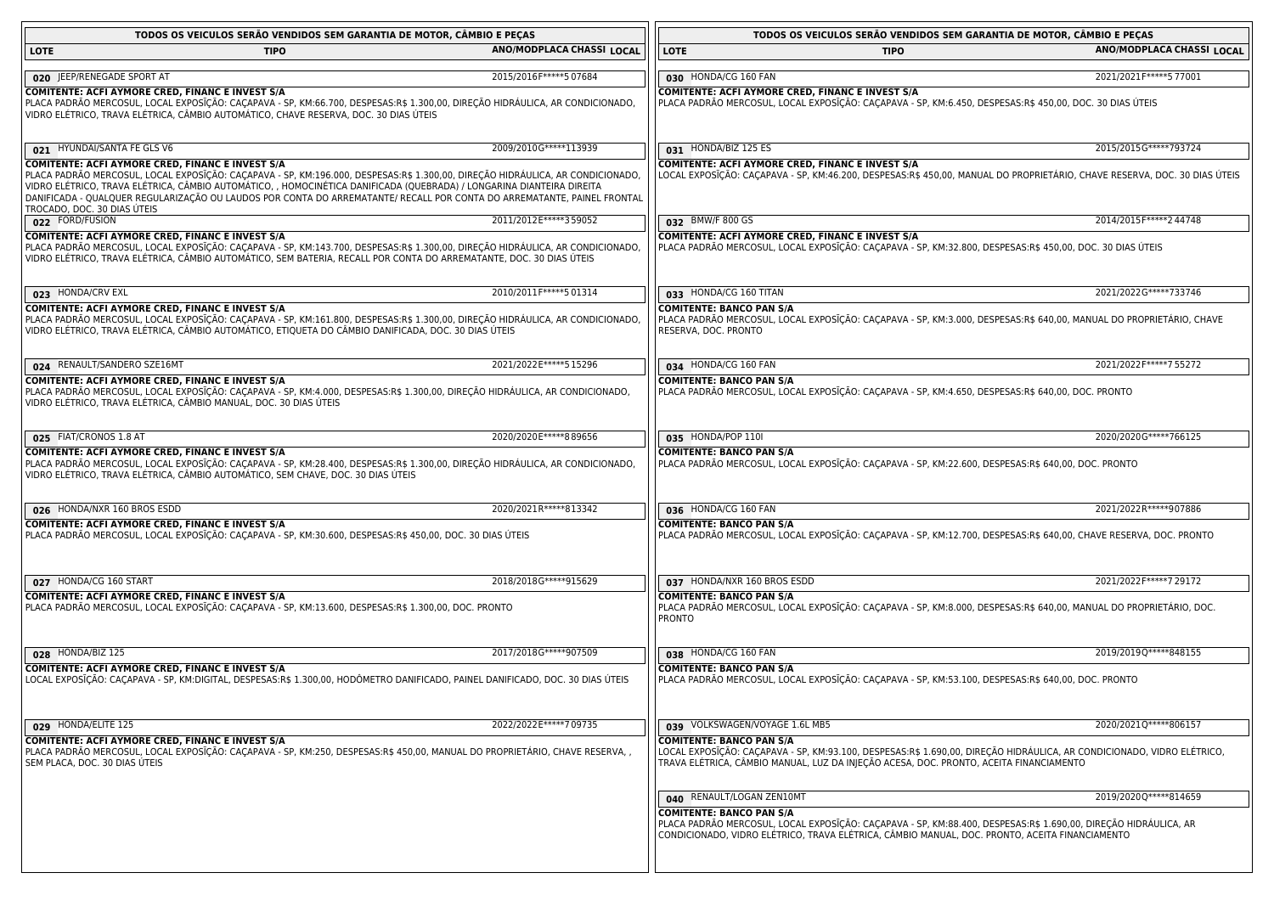| TODOS OS VEICULOS SERÃO VENDIDOS SEM GARANTIA DE MOTOR, CÂMBIO E PEÇAS                                                                                                                                                                                                                                                                                                                                                                                                       |                           | TODOS OS VEICULOS SERÃO VENDIDOS SEM GARANTIA DE MOTOR, CÂMBIO E PEÇAS                                                                                                                                                                               |                           |  |
|------------------------------------------------------------------------------------------------------------------------------------------------------------------------------------------------------------------------------------------------------------------------------------------------------------------------------------------------------------------------------------------------------------------------------------------------------------------------------|---------------------------|------------------------------------------------------------------------------------------------------------------------------------------------------------------------------------------------------------------------------------------------------|---------------------------|--|
| <b>LOTE</b><br><b>TIPO</b>                                                                                                                                                                                                                                                                                                                                                                                                                                                   | ANO/MODPLACA CHASSI LOCAL | <b>LOTE</b><br><b>TIPO</b>                                                                                                                                                                                                                           | ANO/MODPLACA CHASSI LOCAL |  |
| 020 JEEP/RENEGADE SPORT AT                                                                                                                                                                                                                                                                                                                                                                                                                                                   | 2015/2016 F***** 5 07684  | 030 HONDA/CG 160 FAN                                                                                                                                                                                                                                 | 2021/2021 F***** 5 77001  |  |
| COMITENTE: ACFI AYMORE CRED, FINANC E INVEST S/A<br>PLACA PADRÃO MERCOSUL, LOCAL EXPOSIÇÃO: CAÇAPAVA - SP, KM:66.700, DESPESAS:R\$ 1.300,00, DIREÇÃO HIDRÁULICA, AR CONDICIONADO,<br>VIDRO ELÉTRICO, TRAVA ELÉTRICA, CÂMBIO AUTOMÁTICO, CHAVE RESERVA, DOC. 30 DIAS ÚTEIS                                                                                                                                                                                                    |                           | COMITENTE: ACFI AYMORE CRED, FINANC E INVEST S/A<br>PLACA PADRÃO MERCOSUL, LOCAL EXPOSIÇÃO: CAÇAPAVA - SP, KM:6.450, DESPESAS:R\$ 450,00, DOC. 30 DIAS ÚTEIS                                                                                         |                           |  |
| 021 HYUNDAI/SANTA FE GLS V6                                                                                                                                                                                                                                                                                                                                                                                                                                                  | 2009/2010G*****113939     | 031 HONDA/BIZ 125 ES                                                                                                                                                                                                                                 | 2015/2015 G***** 793724   |  |
| <b>COMITENTE: ACFI AYMORE CRED. FINANC E INVEST S/A</b><br>PLACA PADRÃO MERCOSUL, LOCAL EXPOSIÇÃO: CAÇAPAVA - SP, KM:196.000, DESPESAS:R\$ 1.300,00, DIREÇÃO HIDRAULICA, AR CONDICIONADO,<br>VIDRO ELÉTRICO, TRAVA ELÉTRICA, CÂMBIO AUTOMÁTICO, , HOMOCINÉTICA DANIFICADA (QUEBRADA) / LONGARINA DIANTEIRA DIREITA<br>DANIFICADA - QUALQUER REGULARIZAÇÃO OU LAUDOS POR CONTA DO ARREMATANTE/ RECALL POR CONTA DO ARREMATANTE, PAINEL FRONTAL<br>TROCADO, DOC. 30 DIAS UTEIS |                           | COMITENTE: ACFI AYMORE CRED, FINANC E INVEST S/A<br>LOCAL EXPOSIÇÃO: CAÇAPAVA - SP, KM:46.200, DESPESAS:R\$ 450,00, MANUAL DO PROPRIETÁRIO, CHAVE RESERVA, DOC. 30 DIAS UTEIS                                                                        |                           |  |
| 022 FORD/FUSION                                                                                                                                                                                                                                                                                                                                                                                                                                                              | 2011/2012 E*****3 59052   | 032 BMW/F 800 GS                                                                                                                                                                                                                                     | 2014/2015 F***** 244748   |  |
| COMITENTE: ACFI AYMORE CRED, FINANC E INVEST S/A<br>PLACA PADRÃO MERCOSUL, LOCAL EXPOSIÇÃO: CAÇAPAVA - SP, KM:143.700, DESPESAS:R\$ 1.300,00, DIREÇÃO HIDRÁULICA, AR CONDICIONADO,<br>VIDRO ELÉTRICO, TRAVA ELÉTRICA, CÂMBIO AUTOMÁTICO, SEM BATERIA, RECALL POR CONTA DO ARREMATANTE, DOC. 30 DIAS ÚTEIS                                                                                                                                                                    |                           | COMITENTE: ACFI AYMORE CRED, FINANC E INVEST S/A<br>PLACA PADRÃO MERCOSUL, LOCAL EXPOSIÇÃO: CAÇAPAVA - SP, KM:32.800, DESPESAS:R\$ 450,00, DOC. 30 DIAS ÚTEIS                                                                                        |                           |  |
| 023 HONDA/CRV EXL                                                                                                                                                                                                                                                                                                                                                                                                                                                            | 2010/2011 F***** 5 01314  | 033 HONDA/CG 160 TITAN                                                                                                                                                                                                                               | 2021/2022 G*****733746    |  |
| COMITENTE: ACFI AYMORE CRED, FINANC E INVEST S/A<br>PLACA PADRÃO MERCOSUL, LOCAL EXPOSIÇÃO: CAÇAPAVA - SP, KM:161.800, DESPESAS:R\$ 1.300,00, DIREÇÃO HIDRAULICA, AR CONDICIONADO,<br>VIDRO ELÉTRICO, TRAVA ELÉTRICA, CÂMBIO AUTOMÁTICO, ETIQUETA DO CÂMBIO DANIFICADA, DOC. 30 DIAS ÚTEIS                                                                                                                                                                                   |                           | <b>COMITENTE: BANCO PAN S/A</b><br>PLACA PADRÃO MERCOSUL, LOCAL EXPOSIÇÃO: CAÇAPAVA - SP, KM:3.000, DESPESAS:R\$ 640,00, MANUAL DO PROPRIETARIO, CHAVE<br>RESERVA, DOC. PRONTO                                                                       |                           |  |
| 024 RENAULT/SANDERO SZE16MT                                                                                                                                                                                                                                                                                                                                                                                                                                                  | 2021/2022 E*****5 15296   | 034 HONDA/CG 160 FAN                                                                                                                                                                                                                                 | 2021/2022 F*****7 55272   |  |
| COMITENTE: ACFI AYMORE CRED, FINANC E INVEST S/A<br>PLACA PADRÃO MERCOSUL, LOCAL EXPOSIÇÃO: CAÇAPAVA - SP, KM:4.000, DESPESAS:R\$ 1.300,00, DIREÇÃO HIDRÁULICA, AR CONDICIONADO,<br>VIDRO ELÉTRICO, TRAVA ELÉTRICA, CÂMBIO MANUAL, DOC. 30 DIAS ÚTEIS                                                                                                                                                                                                                        |                           | <b>COMITENTE: BANCO PAN S/A</b><br>PLACA PADRÃO MERCOSUL, LOCAL EXPOSIÇÃO: CACAPAVA - SP, KM:4.650, DESPESAS:R\$ 640,00, DOC. PRONTO                                                                                                                 |                           |  |
| 025 FIAT/CRONOS 1.8 AT                                                                                                                                                                                                                                                                                                                                                                                                                                                       | 2020/2020E*****889656     | 035 HONDA/POP 1101                                                                                                                                                                                                                                   | 2020/2020G*****766125     |  |
| COMITENTE: ACFI AYMORE CRED, FINANC E INVEST S/A<br>PLACA PADRÃO MERCOSUL, LOCAL EXPOSIÇÃO: CAÇAPAVA - SP, KM:28.400, DESPESAS:R\$ 1.300,00, DIREÇÃO HIDRÁULICA, AR CONDICIONADO,<br>VIDRO ELÉTRICO, TRAVA ELÉTRICA, CÂMBIO AUTOMÁTICO, SEM CHAVE, DOC. 30 DIAS ÚTEIS                                                                                                                                                                                                        |                           | <b>COMITENTE: BANCO PAN S/A</b><br>PLACA PADRÃO MERCOSUL, LOCAL EXPOSIÇÃO: CAÇAPAVA - SP, KM:22.600, DESPESAS:R\$ 640,00, DOC. PRONTO                                                                                                                |                           |  |
| 026 HONDA/NXR 160 BROS ESDD                                                                                                                                                                                                                                                                                                                                                                                                                                                  | 2020/2021R ***** 813342   | 036 HONDA/CG 160 FAN                                                                                                                                                                                                                                 | 2021/2022R*****907886     |  |
| COMITENTE: ACFI AYMORE CRED, FINANC E INVEST S/A                                                                                                                                                                                                                                                                                                                                                                                                                             |                           | <b>COMITENTE: BANCO PAN S/A</b>                                                                                                                                                                                                                      |                           |  |
| PLACA PADRÃO MERCOSUL, LOCAL EXPOSIÇÃO: CAÇAPAVA - SP, KM:30.600, DESPESAS:R\$ 450,00, DOC. 30 DIAS ÚTEIS                                                                                                                                                                                                                                                                                                                                                                    |                           | PLACA PADRÃO MERCOSUL, LOCAL EXPOSIÇÃO: CAÇAPAVA - SP, KM:12.700, DESPESAS:R\$ 640,00, CHAVE RESERVA, DOC. PRONTO                                                                                                                                    |                           |  |
| 027 HONDA/CG 160 START                                                                                                                                                                                                                                                                                                                                                                                                                                                       | 2018/2018G*****915629     | 037 HONDA/NXR 160 BROS ESDD                                                                                                                                                                                                                          | 2021/2022 F*****7 29172   |  |
| COMITENTE: ACFI AYMORE CRED, FINANC E INVEST S/A<br>PLACA PADRÃO MERCOSUL, LOCAL EXPOSIÇÃO: CAÇAPAVA - SP, KM:13.600, DESPESAS:R\$ 1.300,00, DOC. PRONTO                                                                                                                                                                                                                                                                                                                     |                           | <b>COMITENTE: BANCO PAN S/A</b><br>PLACA PADRÃO MERCOSUL, LOCAL EXPOSĪÇÃO: CAÇAPAVA - SP, KM:8.000, DESPESAS:R\$ 640,00, MANUAL DO PROPRIETÁRIO, DOC.<br><b>PRONTO</b>                                                                               |                           |  |
| 028 HONDA/BIZ 125                                                                                                                                                                                                                                                                                                                                                                                                                                                            | 2017/2018G*****907509     | 038 HONDA/CG 160 FAN                                                                                                                                                                                                                                 | 2019/2019Q*****848155     |  |
| <b>COMITENTE: ACFI AYMORE CRED, FINANC E INVEST S/A</b><br>LOCAL EXPOSĪÇÃO: CAÇAPAVA - SP, KM:DIGITAL, DESPESAS:R\$ 1.300,00, HODÔMETRO DANIFICADO, PAINEL DANIFICADO, DOC. 30 DIAS ÚTEIS                                                                                                                                                                                                                                                                                    |                           | <b>COMITENTE: BANCO PAN S/A</b><br>PLACA PADRÃO MERCOSUL, LOCAL EXPOSIÇÃO: CACAPAVA - SP, KM:53.100, DESPESAS:R\$ 640,00, DOC. PRONTO                                                                                                                |                           |  |
| 029 HONDA/ELITE 125                                                                                                                                                                                                                                                                                                                                                                                                                                                          | 2022/2022 E*****7 09735   | 039 VOLKSWAGEN/VOYAGE 1.6L MB5                                                                                                                                                                                                                       | 2020/2021Q*****806157     |  |
| <b>COMITENTE: ACFI AYMORE CRED, FINANC E INVEST S/A</b>                                                                                                                                                                                                                                                                                                                                                                                                                      |                           | <b>COMITENTE: BANCO PAN S/A</b>                                                                                                                                                                                                                      |                           |  |
| PLACA PADRÃO MERCOSUL, LOCAL EXPOSĨÇÃO: CACAPAVA - SP, KM:250, DESPESAS:R\$ 450,00, MANUAL DO PROPRIETÁRIO, CHAVE RESERVA, ,<br>SEM PLACA, DOC. 30 DIAS ÚTEIS                                                                                                                                                                                                                                                                                                                |                           | LOCAL EXPOSĨÇÃO: CAÇAPAVA - SP, KM:93.100, DESPESAS:R\$ 1.690,00, DIREÇÃO HIDRÁULICA, AR CONDICIONADO, VIDRO ELÉTRICO,<br>TRAVA ELÉTRICA, CÂMBIO MANUAL, LUZ DA INJEÇÃO ACESA, DOC. PRONTO, ACEITA FINANCIAMENTO                                     |                           |  |
|                                                                                                                                                                                                                                                                                                                                                                                                                                                                              |                           | 040 RENAULT/LOGAN ZEN10MT                                                                                                                                                                                                                            | 2019/2020Q*****814659     |  |
|                                                                                                                                                                                                                                                                                                                                                                                                                                                                              |                           | <b>COMITENTE: BANCO PAN S/A</b><br>PLACA PADRÃO MERCOSUL, LOCAL EXPOSIÇÃO: CAÇAPAVA - SP, KM:88.400, DESPESAS:R\$ 1.690,00, DIREÇÃO HIDRÁULICA, AR<br>CONDICIONADO, VIDRO ELÉTRICO, TRAVA ELÉTRICA, CÂMBIO MANUAL, DOC. PRONTO, ACEITA FINANCIAMENTO |                           |  |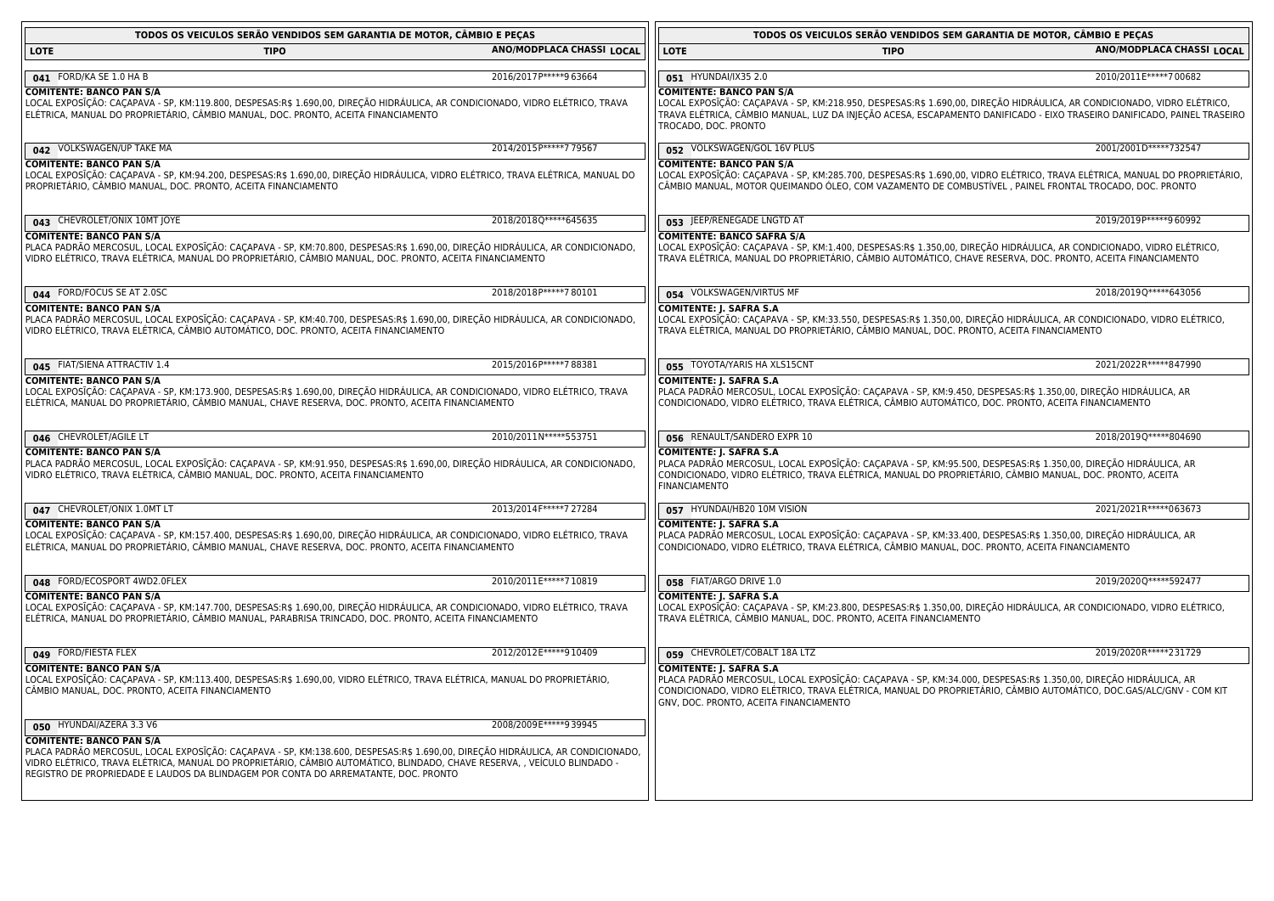| TODOS OS VEICULOS SERÃO VENDIDOS SEM GARANTIA DE MOTOR, CAMBIO E PEÇAS                                                                                                                                                                                                                                                                                                               |                           | TODOS OS VEICULOS SERÃO VENDIDOS SEM GARANTIA DE MOTOR, CÂMBIO E PEÇAS                                                                                                                                                                                                                                        |                           |  |
|--------------------------------------------------------------------------------------------------------------------------------------------------------------------------------------------------------------------------------------------------------------------------------------------------------------------------------------------------------------------------------------|---------------------------|---------------------------------------------------------------------------------------------------------------------------------------------------------------------------------------------------------------------------------------------------------------------------------------------------------------|---------------------------|--|
| <b>LOTE</b><br><b>TIPO</b>                                                                                                                                                                                                                                                                                                                                                           | ANO/MODPLACA CHASSI LOCAL | <b>LOTE</b><br><b>TIPO</b>                                                                                                                                                                                                                                                                                    | ANO/MODPLACA CHASSI LOCAL |  |
|                                                                                                                                                                                                                                                                                                                                                                                      |                           |                                                                                                                                                                                                                                                                                                               |                           |  |
| 041 FORD/KA SE 1.0 HA B                                                                                                                                                                                                                                                                                                                                                              | 2016/2017 P*****9 63664   | 051 HYUNDAI/IX35 2.0                                                                                                                                                                                                                                                                                          | 2010/2011E*****700682     |  |
| <b>COMITENTE: BANCO PAN S/A</b><br>LOCAL EXPOSĪÇÃO: CAÇAPAVA - SP, KM:119.800, DESPESAS:R\$ 1.690,00, DIREÇÃO HIDRÁULICA, AR CONDICIONADO, VIDRO ELÉTRICO, TRAVA<br>ELÉTRICA, MANUAL DO PROPRIETÁRIO, CÂMBIO MANUAL, DOC. PRONTO, ACEITA FINANCIAMENTO                                                                                                                               |                           | <b>COMITENTE: BANCO PAN S/A</b><br>LOCAL EXPOSIÇÃO: CAÇAPAVA - SP, KM:218.950, DESPESAS:R\$ 1.690,00, DIREÇÃO HIDRÁULICA, AR CONDICIONADO, VIDRO ELÉTRICO,<br>TRAVA ELÉTRICA, CÂMBIO MANUAL, LUZ DA INJEÇÃO ACESA, ESCAPAMENTO DANIFICADO - EIXO TRASEIRO DANIFICADO, PAINEL TRASEIRO<br>TROCADO, DOC. PRONTO |                           |  |
| 042 VOLKSWAGEN/UP TAKE MA                                                                                                                                                                                                                                                                                                                                                            | 2014/2015 P*****7 79567   | 052 VOLKSWAGEN/GOL 16V PLUS                                                                                                                                                                                                                                                                                   | 2001/2001D*****732547     |  |
| COMITENTE: BANCO PAN S/A<br>LOCAL EXPOSĨÇÃO: CAÇAPAVA - SP, KM:94.200, DESPESAS:R\$ 1.690,00, DIREÇÃO HIDRÁULICA, VIDRO ELÉTRICO, TRAVA ELÉTRICA, MANUAL DO<br>PROPRIETÁRIO, CÂMBIO MANUAL, DOC. PRONTO, ACEITA FINANCIAMENTO                                                                                                                                                        |                           | <b>COMITENTE: BANCO PAN S/A</b><br>LOCAL EXPOSIÇÃO: CAÇAPAVA - SP, KM:285.700, DESPESAS:R\$ 1.690,00, VIDRO ELÉTRICO, TRAVA ELÉTRICA, MANUAL DO PROPRIETÁRIO,<br>CÂMBIO MANUAL, MOTOR QUEIMANDO OLEO, COM VAZAMENTO DE COMBUSTIVEL, PAINEL FRONTAL TROCADO, DOC. PRONTO                                       |                           |  |
| 043 CHEVROLET/ONIX 10MT JOYE                                                                                                                                                                                                                                                                                                                                                         | 2018/2018Q*****645635     | 053 JEEP/RENEGADE LNGTD AT                                                                                                                                                                                                                                                                                    | 2019/2019 P*****9 60992   |  |
| <b>COMITENTE: BANCO PAN S/A</b><br>PLACA PADRÃO MERCOSUL, LOCAL EXPOSIÇÃO: CAÇAPAVA - SP, KM:70.800, DESPESAS:R\$ 1.690,00, DIREÇÃO HIDRÁULICA, AR CONDICIONADO,<br>VIDRO ELÉTRICO, TRAVA ELÉTRICA, MANUAL DO PROPRIETÁRIO, CÃMBIO MANUAL, DOC. PRONTO, ACEITA FINANCIAMENTO                                                                                                         |                           | <b>COMITENTE: BANCO SAFRA S/A</b><br>LOCAL EXPOSIÇÃO: CAÇAPAVA - SP, KM:1.400, DESPESAS:R\$ 1.350,00, DIREÇÃO HIDRÁULICA, AR CONDICIONADO, VIDRO ELÉTRICO,<br>TRAVA ELÉTRICA, MANUAL DO PROPRIETÁRIO, CÂMBIO AUTOMÁTICO, CHAVE RESERVA, DOC. PRONTO, ACEITA FINANCIAMENTO                                     |                           |  |
| 044 FORD/FOCUS SE AT 2.0SC                                                                                                                                                                                                                                                                                                                                                           | 2018/2018 P***** 780101   | 054 VOLKSWAGEN/VIRTUS MF                                                                                                                                                                                                                                                                                      | 2018/2019Q*****643056     |  |
| <b>COMITENTE: BANCO PAN S/A</b><br>PLACA PADRÃO MERCOSUL, LOCAL EXPOSĨÇÃO: CAÇAPAVA - SP, KM:40.700, DESPESAS:R\$ 1.690,00, DIREÇÃO HIDRÁULICA, AR CONDICIONADO,<br>VIDRO ELÉTRICO, TRAVA ELÉTRICA, CÂMBIO AUTOMÁTICO, DOC. PRONTO, ACEITA FINANCIAMENTO                                                                                                                             |                           | COMITENTE: J. SAFRA S.A<br>LOCAL EXPOSĪÇÃO: CAÇAPAVA - SP, KM:33.550, DESPESAS:R\$ 1.350,00, DIREÇÃO HIDRÁULICA, AR CONDICIONADO, VIDRO ELÉTRICO,<br>TRAVA ELETRICA, MANUAL DO PROPRIETÁRIO, CÂMBIO MANUAL, DOC. PRONTO, ACEITA FINANCIAMENTO                                                                 |                           |  |
| 045 FIAT/SIENA ATTRACTIV 1.4                                                                                                                                                                                                                                                                                                                                                         | 2015/2016 P***** 788381   | 055 TOYOTA/YARIS HA XLS15CNT                                                                                                                                                                                                                                                                                  | 2021/2022R ***** 847990   |  |
| <b>COMITENTE: BANCO PAN S/A</b><br>LOCAL EXPOSĪÇÃO: CAÇAPAVA - SP, KM:173.900, DESPESAS:R\$ 1.690,00, DIREÇÃO HIDRÁULICA, AR CONDICIONADO, VIDRO ELÉTRICO, TRAVA<br>ELÉTRICA, MANUAL DO PROPRIETÁRIO, CÂMBIO MANUAL, CHAVE RESERVA, DOC. PRONTO, ACEITA FINANCIAMENTO                                                                                                                |                           | COMITENTE: J. SAFRA S.A<br>PLACA PADRÃO MERCOSUL, LOCAL EXPOSIÇÃO: CAÇAPAVA - SP, KM:9.450, DESPESAS:R\$ 1.350,00, DIREÇÃO HIDRÁULICA, AR<br>CONDICIONADO, VIDRO ELÉTRICO, TRAVA ELÉTRICA, CÂMBIO AUTOMÁTICO, DOC. PRONTO, ACEITA FINANCIAMENTO                                                               |                           |  |
| 046 CHEVROLET/AGILE LT                                                                                                                                                                                                                                                                                                                                                               | 2010/2011 N***** 553751   | 056 RENAULT/SANDERO EXPR 10                                                                                                                                                                                                                                                                                   | 2018/2019Q*****804690     |  |
| <b>COMITENTE: BANCO PAN S/A</b><br>PLACA PADRÃO MERCOSUL, LOCAL EXPOSĪÇÃO: CAÇAPAVA - SP, KM:91.950, DESPESAS:R\$ 1.690,00, DIREÇÃO HIDRÁULICA, AR CONDICIONADO,<br>VIDRO ELÉTRICO, TRAVA ELÉTRICA, CÂMBIO MANUAL, DOC. PRONTO, ACEITA FINANCIAMENTO                                                                                                                                 |                           | COMITENTE: J. SAFRA S.A<br>PLACA PADRÃO MERCOSUL, LOCAL EXPOSIÇÃO: CAÇAPAVA - SP, KM:95.500, DESPESAS:R\$ 1.350,00, DIREÇÃO HIDRÁULICA, AR<br>CONDICIONADO, VIDRO ELÉTRICO, TRAVA ELÉTRICA, MANUAL DO PROPRIETÁRIO, CÁMBIO MANUAL, DOC. PRONTO, ACEITA<br><b>FINANCIAMENTO</b>                                |                           |  |
| 047 CHEVROLET/ONIX 1.0MT LT                                                                                                                                                                                                                                                                                                                                                          | 2013/2014 F***** 7 27284  | 057 HYUNDAI/HB20 10M VISION                                                                                                                                                                                                                                                                                   | 2021/2021R ***** 063673   |  |
| <b>COMITENTE: BANCO PAN S/A</b><br>LOCAL EXPOSIÇÃO: CAÇAPAVA - SP, KM:157.400, DESPESAS:R\$ 1.690,00, DIREÇÃO HIDRAULICA, AR CONDICIONADO, VIDRO ELÉTRICO, TRAVA<br>ELÉTRICA, MANUAL DO PROPRIETÁRIO, CÂMBIO MANUAL, CHAVE RESERVA, DOC. PRONTO, ACEITA FINANCIAMENTO                                                                                                                |                           | COMITENTE: J. SAFRA S.A<br>PLACA PADRÃO MERCOSUL, LOCAL EXPOSIÇÃO: CAÇAPAVA - SP, KM:33.400, DESPESAS:R\$ 1.350,00, DIREÇÃO HIDRÁULICA, AR<br>CONDICIONADO, VIDRO ELÉTRICO, TRAVA ELÉTRICA, CÂMBIO MANUAL, DOC. PRONTO, ACEITA FINANCIAMENTO                                                                  |                           |  |
| 048 FORD/ECOSPORT 4WD2.0FLEX                                                                                                                                                                                                                                                                                                                                                         | 2010/2011E*****710819     | 058 FIAT/ARGO DRIVE 1.0                                                                                                                                                                                                                                                                                       | 2019/2020Q*****592477     |  |
| <b>COMITENTE: BANCO PAN S/A</b>                                                                                                                                                                                                                                                                                                                                                      |                           | COMITENTE: J. SAFRA S.A                                                                                                                                                                                                                                                                                       |                           |  |
| LOCAL EXPOSĪÇÃO: CAÇAPAVA - SP, KM:147.700, DESPESAS:R\$ 1.690,00, DIREÇÃO HIDRÁULICA, AR CONDICIONADO, VIDRO ELÉTRICO, TRAVA<br>ELÉTRICA, MANUAL DO PROPRIETÁRIO, CÂMBIO MANUAL, PARABRISA TRINCADO, DOC. PRONTO, ACEITA FINANCIAMENTO                                                                                                                                              |                           | LOCAL EXPOSIÇÃO: CAÇAPAVA - SP, KM:23.800, DESPESAS:R\$ 1.350,00, DIREÇÃO HIDRÁULICA, AR CONDICIONADO, VIDRO ELÉTRICO,<br>TRAVA ELÉTRICA, CÂMBIO MANUAL, DOC. PRONTO, ACEITA FINANCIAMENTO                                                                                                                    |                           |  |
| 049 FORD/FIESTA FLEX                                                                                                                                                                                                                                                                                                                                                                 | 2012/2012 E*****9 10409   | 059 CHEVROLET/COBALT 18A LTZ                                                                                                                                                                                                                                                                                  | 2019/2020R*****231729     |  |
| <b>COMITENTE: BANCO PAN S/A</b><br>LOCAL EXPOSĪÇÃO: CAÇAPAVA - SP, KM:113.400, DESPESAS:R\$ 1.690,00, VIDRO ELÉTRICO, TRAVA ELÉTRICA, MANUAL DO PROPRIETÁRIO,<br>CÂMBIO MANUAL, DOC. PRONTO, ACEITA FINANCIAMENTO                                                                                                                                                                    |                           | COMITENTE: J. SAFRA S.A<br>PLACA PADRÃO MERCOSUL, LOCAL EXPOSIÇÃO: CAÇAPAVA - SP, KM:34.000, DESPESAS:R\$ 1.350,00, DIREÇÃO HIDRÁULICA, AR<br>CONDICIONADO, VIDRO ELÉTRICO, TRAVA ELÉTRICA, MANUAL DO PROPRIETÁRIO, CÂMBIO AUTOMÁTICO, DOC.GAS/ALC/GNV - COM KIT<br>GNV, DOC. PRONTO, ACEITA FINANCIAMENTO    |                           |  |
| 050 HYUNDAI/AZERA 3.3 V6                                                                                                                                                                                                                                                                                                                                                             | 2008/2009E*****939945     |                                                                                                                                                                                                                                                                                                               |                           |  |
| <b>COMITENTE: BANCO PAN S/A</b><br>PLACA PADRÃO MERCOSUL, LOCAL EXPOSĪÇÃO: CAÇAPAVA - SP, KM:138.600, DESPESAS:R\$ 1.690,00, DIREÇÃO HIDRÁULICA, AR CONDICIONADO,<br>VIDRO ELÉTRICO, TRAVA ELÉTRICA, MANUAL DO PROPRIETÁRIO, CÂMBIO AUTOMÁTICO, BLINDADO, CHAVE RESERVA, , VEÍCULO BLINDADO -<br>REGISTRO DE PROPRIEDADE E LAUDOS DA BLINDAGEM POR CONTA DO ARREMATANTE, DOC. PRONTO |                           |                                                                                                                                                                                                                                                                                                               |                           |  |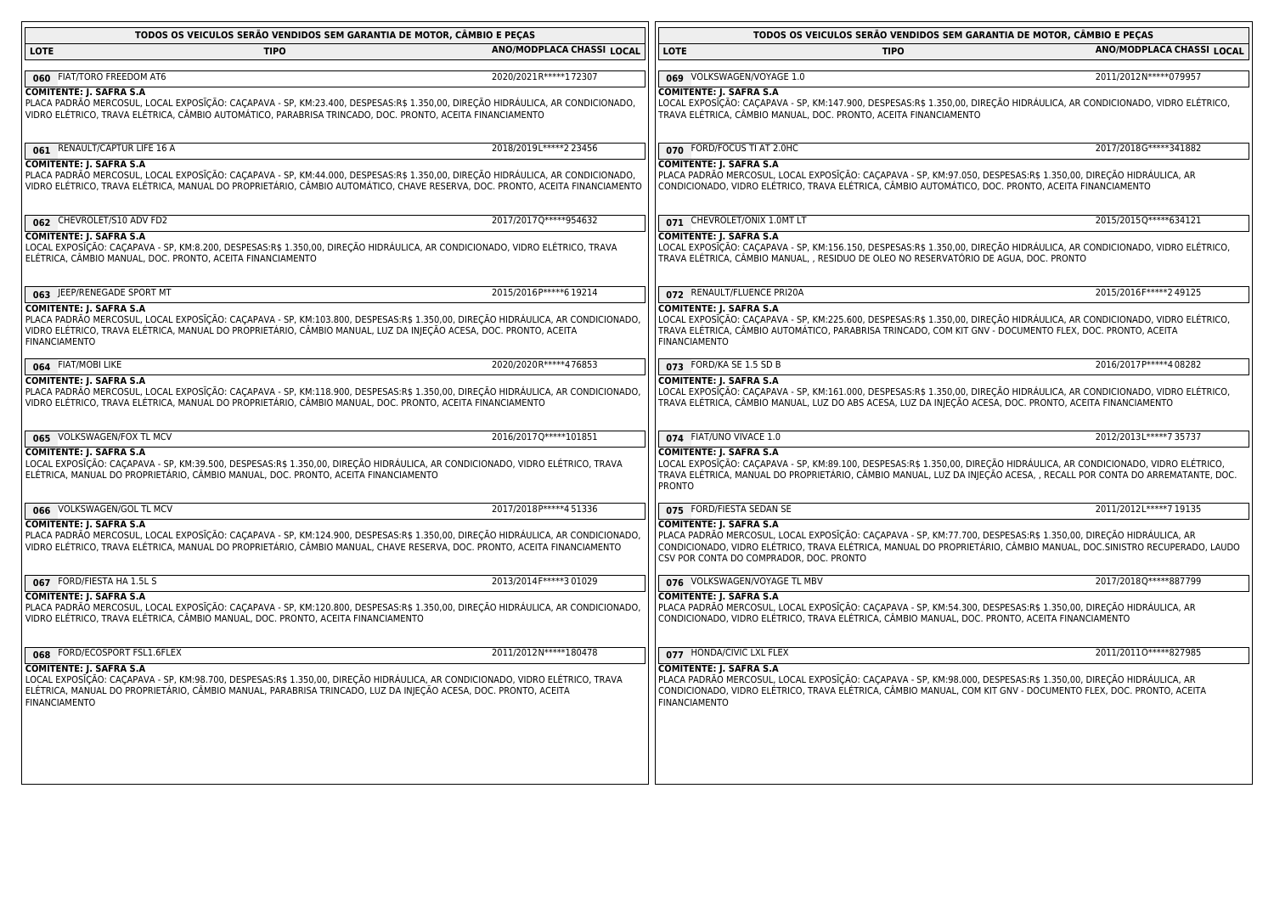| TODOS OS VEICULOS SERÃO VENDIDOS SEM GARANTIA DE MOTOR, CÂMBIO E PEÇAS                                                                                                                                                                                                                                       |                           | TODOS OS VEICULOS SERÃO VENDIDOS SEM GARANTIA DE MOTOR, CÂMBIO E PEÇAS                                                                                                                                                                                                                                              |                           |
|--------------------------------------------------------------------------------------------------------------------------------------------------------------------------------------------------------------------------------------------------------------------------------------------------------------|---------------------------|---------------------------------------------------------------------------------------------------------------------------------------------------------------------------------------------------------------------------------------------------------------------------------------------------------------------|---------------------------|
| <b>LOTE</b><br><b>TIPO</b>                                                                                                                                                                                                                                                                                   | ANO/MODPLACA CHASSI LOCAL | <b>LOTE</b><br><b>TIPO</b>                                                                                                                                                                                                                                                                                          | ANO/MODPLACA CHASSI LOCAL |
| 060 FIAT/TORO FREEDOM AT6                                                                                                                                                                                                                                                                                    | 2020/2021R ***** 172307   | 069 VOLKSWAGEN/VOYAGE 1.0                                                                                                                                                                                                                                                                                           | 2011/2012N*****079957     |
| COMITENTE: J. SAFRA S.A<br>PLACA PADRÃO MERCOSUL, LOCAL EXPOSĨÇÃO: CAÇAPAVA - SP, KM:23.400, DESPESAS:R\$ 1.350,00, DIREÇÃO HIDRÁULICA, AR CONDICIONADO,<br>VIDRO ELÉTRICO, TRAVA ELÉTRICA, CÂMBIO AUTOMÁTICO, PARABRISA TRINCADO, DOC. PRONTO, ACEITA FINANCIAMENTO                                         |                           | COMITENTE: J. SAFRA S.A<br>LOCAL EXPOSĪÇÃO: CAÇAPAVA - SP, KM:147.900, DESPESAS:R\$ 1.350,00, DIREÇÃO HIDRÁULICA, AR CONDICIONADO, VIDRO ELÉTRICO,<br>TRAVA ELÉTRICA, CÂMBIO MANUAL, DOC. PRONTO, ACEITA FINANCIAMENTO                                                                                              |                           |
| 061 RENAULT/CAPTUR LIFE 16 A                                                                                                                                                                                                                                                                                 | 2018/2019L*****2 23456    | 070 FORD/FOCUS TI AT 2.0HC                                                                                                                                                                                                                                                                                          | 2017/2018G*****341882     |
| COMITENTE: J. SAFRA S.A<br>PLACA PADRÃO MERCOSUL, LOCAL EXPOSĨÇÃO: CAÇAPAVA - SP, KM:44.000, DESPESAS:R\$ 1.350,00, DIREÇÃO HIDRÁULICA, AR CONDICIONADO,<br>VIDRO ELÉTRICO, TRAVA ELÉTRICA, MANUAL DO PROPRIETÁRIO, CÂMBIO AUTOMÁTICO, CHAVE RESERVA, DOC. PRONTO, ACEITA FINANCIAMENTO                      |                           | <b>COMITENTE: J. SAFRA S.A</b><br>PLACA PADRÃO MERCOSUL, LOCAL EXPOSIÇÃO: CAÇAPAVA - SP, KM:97.050, DESPESAS:R\$ 1.350,00, DIREÇÃO HIDRÁULICA, AR<br>CONDICIONADO, VIDRO ELÉTRICO, TRAVA ELÉTRICA, CÂMBIO AUTOMÁTICO, DOC. PRONTO, ACEITA FINANCIAMENTO                                                             |                           |
| 062 CHEVROLET/S10 ADV FD2                                                                                                                                                                                                                                                                                    | 2017/2017Q*****954632     | 071 CHEVROLET/ONIX 1.0MT LT                                                                                                                                                                                                                                                                                         | 2015/2015Q*****634121     |
| COMITENTE: J. SAFRA S.A<br>LOCAL EXPOSĨÇÃO: CAÇAPAVA - SP, KM:8.200, DESPESAS:R\$ 1.350,00, DIREÇÃO HIDRÁULICA, AR CONDICIONADO, VIDRO ELÉTRICO, TRAVA<br>ELÉTRICA, CÂMBIO MANUAL, DOC. PRONTO, ACEITA FINANCIAMENTO                                                                                         |                           | COMITENTE: J. SAFRA S.A<br>LOCAL EXPOSĨÇÃO: CAÇAPAVA - SP, KM:156.150, DESPESAS:R\$ 1.350,00, DIREÇÃO HIDRÁULICA, AR CONDICIONADO, VIDRO ELÉTRICO,<br>TRAVA ELÉTRICA, CÂMBIO MANUAL, , RESIDUO DE OLEO NO RESERVATÓRIO DE AGUA, DOC. PRONTO                                                                         |                           |
| 063 JEEP/RENEGADE SPORT MT                                                                                                                                                                                                                                                                                   | 2015/2016 P***** 6 19214  | 072 RENAULT/FLUENCE PRI20A                                                                                                                                                                                                                                                                                          | 2015/2016 F***** 249125   |
| <b>COMITENTE: J. SAFRA S.A</b><br>PLACA PADRÃO MERCOSUL, LOCAL EXPOSĪÇÃO: CAÇAPAVA - SP, KM:103.800, DESPESAS:R\$ 1.350,00, DIREÇÃO HIDRÁULICA, AR CONDICIONADO,<br>VIDRO ELÉTRICO, TRAVA ELÉTRICA, MANUAL DO PROPRIETÁRIO, CÂMBIO MANUAL, LUZ DA INJEÇÃO ACESA, DOC. PRONTO, ACEITA<br><b>FINANCIAMENTO</b> |                           | <b>COMITENTE: J. SAFRA S.A</b><br>LOCAL EXPOSĨÇÃO: CAÇAPAVA - SP, KM:225.600, DESPESAS:R\$ 1.350,00, DIREÇÃO HIDRÁULICA, AR CONDICIONADO, VIDRO ELÉTRICO,<br>TRAVA ELÉTRICA, CÂMBIO AUTOMÁTICO, PARABRISA TRINCADO, COM KIT GNV - DOCUMENTO FLEX, DOC. PRONTO, ACEITA<br><b>FINANCIAMENTO</b>                       |                           |
| 064 FIAT/MOBI LIKE                                                                                                                                                                                                                                                                                           | 2020/2020R ***** 476853   | 073 FORD/KA SE 1.5 SD B                                                                                                                                                                                                                                                                                             | 2016/2017 P*****4 08282   |
| COMITENTE: J. SAFRA S.A<br>PLACA PADRÃO MERCOSUL, LOCAL EXPOSĪÇÃO: CAÇAPAVA - SP, KM:118.900, DESPESAS:R\$ 1.350,00, DIREÇÃO HIDRÁULICA, AR CONDICIONADO,<br>VIDRO ELÉTRICO, TRAVA ELÉTRICA, MANUAL DO PROPRIETÁRIO, CÂMBIO MANUAL, DOC. PRONTO, ACEITA FINANCIAMENTO                                        |                           | COMITENTE: J. SAFRA S.A<br>LOCAL EXPOSĪÇÃO: CAÇAPAVA - SP, KM:161.000, DESPESAS:R\$ 1.350,00, DIREÇÃO HIDRÁULICA, AR CONDICIONADO, VIDRO ELÉTRICO,<br>TRAVA ELÉTRICA, CÂMBIO MANUAL, LUZ DO ABS ACESA, LUZ DA INJEÇÃO ACESA, DOC. PRONTO, ACEITA FINANCIAMENTO                                                      |                           |
| 065 VOLKSWAGEN/FOX TL MCV                                                                                                                                                                                                                                                                                    | 2016/2017Q ***** 101851   | 074 FIAT/UNO VIVACE 1.0                                                                                                                                                                                                                                                                                             | 2012/2013L*****7 35737    |
| COMITENTE: J. SAFRA S.A<br>LOCAL EXPOSĪÇÃO: CAÇAPAVA - SP, KM:39.500, DESPESAS:R\$ 1.350,00, DIREÇÃO HIDRÁULICA, AR CONDICIONADO, VIDRO ELÉTRICO, TRAVA<br>ELÉTRICA, MANUAL DO PROPRIETÁRIO, CÂMBIO MANUAL, DOC. PRONTO, ACEITA FINANCIAMENTO                                                                |                           | COMITENTE: J. SAFRA S.A<br>LOCAL EXPOSĨÇÃO: CAÇAPAVA - SP, KM:89.100, DESPESAS:R\$ 1.350,00, DIREÇÃO HIDRÁULICA, AR CONDICIONADO, VIDRO ELÉTRICO,<br>TRAVA ELÉTRICA, MANUAL DO PROPRIETÁRIO, CÂMBIO MANUAL, LUZ DA INJECÃO ACESA, , RECALL POR CONTA DO ARREMATANTE, DOC.<br><b>PRONTO</b>                          |                           |
| 066 VOLKSWAGEN/GOL TL MCV                                                                                                                                                                                                                                                                                    | 2017/2018 P***** 4 51336  | 075 FORD/FIESTA SEDAN SE                                                                                                                                                                                                                                                                                            | 2011/2012L*****7 19135    |
| COMITENTE: J. SAFRA S.A<br>PLACA PADRÃO MERCOSUL, LOCAL EXPOSĪÇÃO: CAÇAPAVA - SP, KM:124.900, DESPESAS:R\$ 1.350,00, DIREÇÃO HIDRÁULICA, AR CONDICIONADO,<br>VIDRO ELÉTRICO, TRAVA ELÉTRICA, MANUAL DO PROPRIETÁRIO, CÂMBIO MANUAL, CHAVE RESERVA, DOC. PRONTO, ACEITA FINANCIAMENTO                         |                           | <b>COMITENTE: J. SAFRA S.A</b><br>PLACA PADRÃO MERCOSUL, LOCAL EXPOSĪÇÃO: CAÇAPAVA - SP, KM:77.700, DESPESAS:R\$ 1.350,00, DIREÇÃO HIDRÁULICA, AR<br>CONDICIONADO, VIDRO ELÉTRICO, TRAVA ELÉTRICA, MANUAL DO PROPRIETÁRIO, CÂMBIO MANUAL, DOC.SINISTRO RECUPERADO, LAUDO<br>CSV POR CONTA DO COMPRADOR, DOC. PRONTO |                           |
| 067 FORD/FIESTA HA 1.5L S                                                                                                                                                                                                                                                                                    | 2013/2014 F***** 3 01029  | 076 VOLKSWAGEN/VOYAGE TL MBV                                                                                                                                                                                                                                                                                        | 2017/2018Q*****887799     |
| <b>COMITENTE: J. SAFRA S.A</b><br>PLACA PADRÃO MERCOSUL, LOCAL EXPOSĨÇÃO: CAÇAPAVA - SP, KM:120.800, DESPESAS:R\$ 1.350,00, DIREÇÃO HIDRÁULICA, AR CONDICIONADO,<br>VIDRO ELÉTRICO, TRAVA ELÉTRICA, CÂMBIO MANUAL, DOC. PRONTO, ACEITA FINANCIAMENTO                                                         |                           | <b>COMITENTE: J. SAFRA S.A</b><br>PLACA PADRÃO MERCOSUL, LOCAL EXPOSĨÇÃO: CAÇAPAVA - SP, KM:54.300, DESPESAS:R\$ 1.350,00, DIREÇÃO HIDRÁULICA, AR<br>CONDICIONADO, VIDRO ELÉTRICO, TRAVA ELÉTRICA, CÂMBIO MANUAL, DOC. PRONTO, ACEITA FINANCIAMENTO                                                                 |                           |
| 068 FORD/ECOSPORT FSL1.6FLEX                                                                                                                                                                                                                                                                                 | 2011/2012 N*****180478    | 077 HONDA/CIVIC LXL FLEX                                                                                                                                                                                                                                                                                            | 2011/20110 ***** 827985   |
| <b>COMITENTE: J. SAFRA S.A</b><br>LOCAL EXPOSĪÇÃO: CAÇAPAVA - SP, KM:98.700, DESPESAS:R\$ 1.350,00, DIREÇÃO HIDRÁULICA, AR CONDICIONADO, VIDRO ELÉTRICO, TRAVA<br>ELÉTRICA, MANUAL DO PROPRIETÁRIO, CÂMBIO MANUAL, PARABRISA TRINCADO, LUZ DA INJEÇÃO ACESA, DOC. PRONTO, ACEITA<br><b>FINANCIAMENTO</b>     |                           | <b>COMITENTE: J. SAFRA S.A</b><br>PLACA PADRÃO MERCOSUL, LOCAL EXPOSĨÇÃO: CAÇAPAVA - SP, KM:98.000, DESPESAS:R\$ 1.350,00, DIREÇÃO HIDRÁULICA, AR<br>CONDICIONADO, VIDRO ELÉTRICO, TRAVA ELÉTRICA, CÂMBIO MANUAL, COM KIT GNV - DOCUMENTO FLEX, DOC. PRONTO, ACEITA<br><b>FINANCIAMENTO</b>                         |                           |
|                                                                                                                                                                                                                                                                                                              |                           |                                                                                                                                                                                                                                                                                                                     |                           |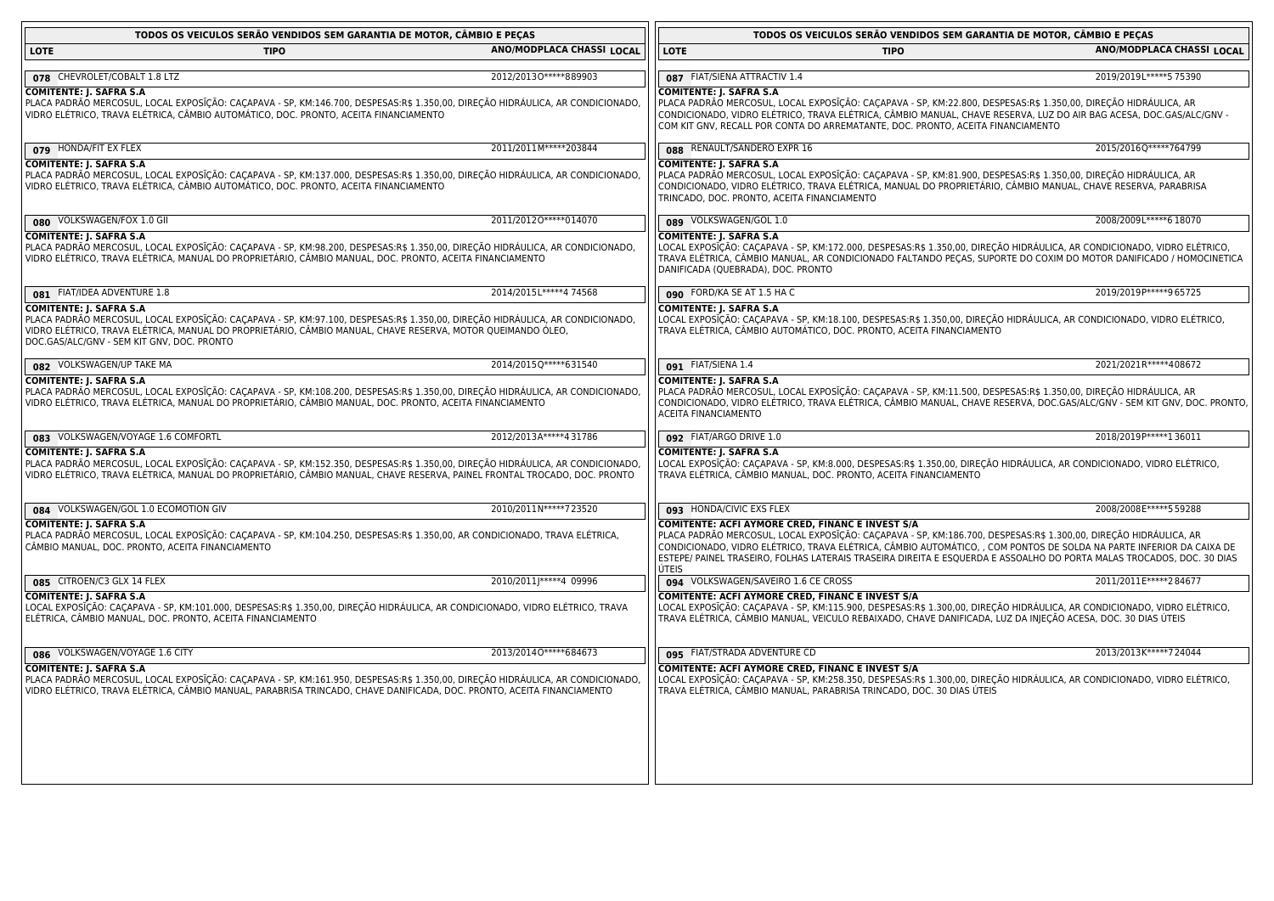| TODOS OS VEICULOS SERÃO VENDIDOS SEM GARANTIA DE MOTOR, CÂMBIO E PEÇAS                                                                                                                                                                                                                                                       |                           | TODOS OS VEICULOS SERÃO VENDIDOS SEM GARANTIA DE MOTOR, CÂMBIO E PEÇAS                                                                                                                                                                                                                                                                                                                                                         |                                  |  |
|------------------------------------------------------------------------------------------------------------------------------------------------------------------------------------------------------------------------------------------------------------------------------------------------------------------------------|---------------------------|--------------------------------------------------------------------------------------------------------------------------------------------------------------------------------------------------------------------------------------------------------------------------------------------------------------------------------------------------------------------------------------------------------------------------------|----------------------------------|--|
| <b>LOTE</b><br><b>TIPO</b>                                                                                                                                                                                                                                                                                                   | ANO/MODPLACA CHASSI LOCAL | <b>LOTE</b><br><b>TIPO</b>                                                                                                                                                                                                                                                                                                                                                                                                     | <b>ANO/MODPLACA CHASSI LOCAL</b> |  |
| 078 CHEVROLET/COBALT 1.8 LTZ                                                                                                                                                                                                                                                                                                 | 2012/20130 ***** 889903   | 087 FIAT/SIENA ATTRACTIV 1.4                                                                                                                                                                                                                                                                                                                                                                                                   | 2019/2019L*****5 75390           |  |
| COMITENTE: J. SAFRA S.A<br>PLACA PADRÃO MERCOSUL, LOCAL EXPOSĪÇÃO: CAÇAPAVA - SP, KM:146.700, DESPESAS:R\$ 1.350,00, DIREÇÃO HIDRÁULICA, AR CONDICIONADO,<br>VIDRO ELÉTRICO, TRAVA ELÉTRICA, CÂMBIO AUTOMÁTICO, DOC. PRONTO, ACEITA FINANCIAMENTO                                                                            |                           | <b>COMITENTE: J. SAFRA S.A</b><br>PLACA PADRÃO MERCOSUL, LOCAL EXPOSĪÇÃO: CAÇAPAVA - SP, KM:22.800, DESPESAS:R\$ 1.350,00, DIREÇÃO HIDRÁULICA, AR<br>CONDICIONADO, VIDRO ELÉTRICO, TRAVA ELÉTRICA, CÂMBIO MANUAL, CHAVE RESERVA, LUZ DO AIR BAG ACESA, DOC.GAS/ALC/GNV -<br>COM KIT GNV, RECALL POR CONTA DO ARREMATANTE, DOC. PRONTO, ACEITA FINANCIAMENTO                                                                    |                                  |  |
| 079 HONDA/FIT EX FLEX                                                                                                                                                                                                                                                                                                        | 2011/2011M*****203844     | 088 RENAULT/SANDERO EXPR 16                                                                                                                                                                                                                                                                                                                                                                                                    | 2015/2016Q*****764799            |  |
| <b>COMITENTE: J. SAFRA S.A</b><br>PLACA PADRÃO MERCOSUL, LOCAL EXPOSĪÇÃO: CAÇAPAVA - SP, KM:137.000, DESPESAS:R\$ 1.350,00, DIREÇÃO HIDRÁULICA, AR CONDICIONADO,<br>VIDRO ELÉTRICO, TRAVA ELÉTRICA, CÂMBIO AUTOMÁTICO, DOC. PRONTO, ACEITA FINANCIAMENTO                                                                     |                           | <b>COMITENTE: J. SAFRA S.A</b><br>PLACA PADRÃO MERCOSUL, LOCAL EXPOSIÇÃO: CAÇAPAVA - SP, KM:81.900, DESPESAS:R\$ 1.350,00, DIREÇÃO HIDRÁULICA, AR<br>CONDICIONADO, VIDRO ELÉTRICO, TRAVA ELÉTRICA, MANUAL DO PROPRIETÁRIO, CÂMBIO MANUAL, CHAVE RESERVA, PARABRISA<br>TRINCADO, DOC. PRONTO, ACEITA FINANCIAMENTO                                                                                                              |                                  |  |
| 080 VOLKSWAGEN/FOX 1.0 GII                                                                                                                                                                                                                                                                                                   | 2011/20120 ***** 014070   | 089 VOLKSWAGEN/GOL 1.0                                                                                                                                                                                                                                                                                                                                                                                                         | 2008/2009L ***** 6 18070         |  |
| <b>COMITENTE: J. SAFRA S.A</b><br>PLACA PADRÃO MERCOSUL, LOCAL EXPOSĨÇÃO: CAÇAPAVA - SP, KM:98.200, DESPESAS:R\$ 1.350,00, DIREÇÃO HIDRÁULICA, AR CONDICIONADO<br>VIDRO ELÉTRICO, TRAVA ELÉTRICA, MANUAL DO PROPRIETÁRIO, CÂMBIO MANUAL, DOC. PRONTO, ACEITA FINANCIAMENTO                                                   |                           | <b>COMITENTE: J. SAFRA S.A</b><br>LOCAL EXPOSIÇÃO: CAÇAPAVA - SP, KM:172.000, DESPESAS:R\$ 1.350,00, DIREÇÃO HIDRÁULICA, AR CONDICIONADO, VIDRO ELETRICO,<br>TRAVA ELÉTRICA, CÂMBIO MANUAL, AR CONDICIONADO FALTANDO PEÇAS, SUPORTE DO COXIM DO MOTOR DANIFICADO / HOMOCINETICA<br>DANIFICADA (QUEBRADA), DOC. PRONTO                                                                                                          |                                  |  |
| 081 FIAT/IDEA ADVENTURE 1.8                                                                                                                                                                                                                                                                                                  | 2014/2015L*****4 74568    | 090 FORD/KA SE AT 1.5 HA C                                                                                                                                                                                                                                                                                                                                                                                                     | 2019/2019 P***** 965725          |  |
| <b>COMITENTE: J. SAFRA S.A</b><br>PLACA PADRÃO MERCOSUL, LOCAL EXPOSĨÇÃO: CAÇAPAVA - SP, KM:97.100, DESPESAS:R\$ 1.350,00, DIREÇÃO HIDRÁULICA, AR CONDICIONADO,<br>VIDRO ELÉTRICO, TRAVA ELÉTRICA, MANUAL DO PROPRIETÁRIO, CÂMBIO MANUAL, CHAVE RESERVA, MOTOR QUEIMANDO ÓLEO,<br>DOC.GAS/ALC/GNV - SEM KIT GNV, DOC. PRONTO |                           | <b>COMITENTE: J. SAFRA S.A</b><br>LOCAL EXPOSĨÇÃO: CAÇAPAVA - SP, KM:18.100, DESPESAS:R\$ 1.350,00, DIREÇÃO HIDRÁULICA, AR CONDICIONADO, VIDRO ELÉTRICO,<br>TRAVA ELÉTRICA, CÂMBIO AUTOMÁTICO, DOC. PRONTO, ACEITA FINANCIAMENTO                                                                                                                                                                                               |                                  |  |
| 082 VOLKSWAGEN/UP TAKE MA                                                                                                                                                                                                                                                                                                    | 2014/2015Q*****631540     | 091 FIAT/SIENA 1.4                                                                                                                                                                                                                                                                                                                                                                                                             | 2021/2021R*****408672            |  |
| COMITENTE: J. SAFRA S.A<br>PLACA PADRÃO MERCOSUL, LOCAL EXPOSĨÇÃO: CAÇAPAVA - SP, KM:108.200, DESPESAS:R\$ 1.350,00, DIREÇÃO HIDRÁULICA, AR CONDICIONADO,<br>VIDRO ELÉTRICO, TRAVA ELÉTRICA, MANUAL DO PROPRIETÁRIO, CÂMBIO MANUAL, DOC. PRONTO, ACEITA FINANCIAMENTO                                                        |                           | <b>COMITENTE: J. SAFRA S.A</b><br>PLACA PADRÃO MERCOSUL, LOCAL EXPOSIÇÃO: CAÇAPAVA - SP, KM:11.500, DESPESAS:R\$ 1.350,00, DIREÇÃO HIDRÁULICA, AR<br>CONDICIONADO, VIDRO ELÉTRICO, TRAVA ELÉTRICA, CÂMBIO MANUAL, CHAVE RESERVA, DOC.GAS/ALC/GNV - SEM KIT GNV, DOC. PRONTO,<br><b>ACEITA FINANCIAMENTO</b>                                                                                                                    |                                  |  |
| 083 VOLKSWAGEN/VOYAGE 1.6 COMFORTL                                                                                                                                                                                                                                                                                           | 2012/2013A*****431786     | 092 FIAT/ARGO DRIVE 1.0                                                                                                                                                                                                                                                                                                                                                                                                        | 2018/2019 P***** 1 36011         |  |
| <b>COMITENTE: J. SAFRA S.A</b><br>PLACA PADRÃO MERCOSUL, LOCAL EXPOSĪÇÃO: CAÇAPAVA - SP, KM:152.350, DESPESAS:R\$ 1.350,00, DIREÇÃO HIDRÁULICA, AR CONDICIONADO,<br>VIDRO ELÉTRICO, TRAVA ELÉTRICA, MANUAL DO PROPRIETÁRIO, CÂMBIO MANUAL, CHAVE RESERVA, PAINEL FRONTAL TROCADO, DOC. PRONTO                                |                           | <b>COMITENTE: J. SAFRA S.A</b><br>LOCAL EXPOSĪÇÃO: CAÇAPAVA - SP, KM:8.000, DESPESAS:R\$ 1.350,00, DIREÇÃO HIDRÁULICA, AR CONDICIONADO, VIDRO ELÉTRICO,<br>TRAVA ELÉTRICA, CÂMBIO MANUAL, DOC. PRONTO, ACEITA FINANCIAMENTO                                                                                                                                                                                                    |                                  |  |
| 084 VOLKSWAGEN/GOL 1.0 ECOMOTION GIV                                                                                                                                                                                                                                                                                         | 2010/2011N*****723520     | 093 HONDA/CIVIC EXS FLEX                                                                                                                                                                                                                                                                                                                                                                                                       | 2008/2008E*****559288            |  |
| <b>COMITENTE: J. SAFRA S.A</b><br>PLACA PADRÃO MERCOSUL, LOCAL EXPOSĨÇÃO: CAÇAPAVA - SP, KM:104.250, DESPESAS:R\$ 1.350,00, AR CONDICIONADO, TRAVA ELÉTRICA,<br>CÂMBIO MANUAL, DOC. PRONTO, ACEITA FINANCIAMENTO                                                                                                             |                           | COMITENTE: ACFI AYMORE CRED, FINANC E INVEST S/A<br>PLACA PADRÃO MERCOSUL, LOCAL EXPOSĪÇÃO: CAÇAPAVA - SP, KM:186.700, DESPESAS:R\$ 1.300,00, DIREÇÃO HIDRÁULICA, AR<br>CONDICIONADO, VIDRO ELÉTRICO, TRAVA ELÉTRICA, CÂMBIO AUTOMÁTICO, , COM PONTOS DE SOLDA NA PARTE INFERIOR DA CAIXA DE<br>ESTEPE/ PAINEL TRASEIRO, FOLHAS LATERAIS TRASEIRA DIREITA E ESQUERDA E ASSOALHO DO PORTA MALAS TROCADOS, DOC. 30 DIAS<br>ÚTEIS |                                  |  |
| 085 CITROEN/C3 GLX 14 FLEX                                                                                                                                                                                                                                                                                                   | 2010/2011  ***** 4 09996  | 094 VOLKSWAGEN/SAVEIRO 1.6 CE CROSS                                                                                                                                                                                                                                                                                                                                                                                            | 2011/2011 E***** 284677          |  |
| <b>COMITENTE: J. SAFRA S.A</b><br>LOCAL EXPOSĪÇÃO: CAÇAPAVA - SP, KM:101.000, DESPESAS:R\$ 1.350,00, DIREÇÃO HIDRÁULICA, AR CONDICIONADO, VIDRO ELÉTRICO, TRAVA<br>ELÉTRICA, CÂMBIO MANUAL, DOC. PRONTO, ACEITA FINANCIAMENTO                                                                                                |                           | COMITENTE: ACFI AYMORE CRED, FINANC E INVEST S/A<br>LOCAL EXPOSIÇÃO: CAÇAPAVA - SP, KM:115.900, DESPESAS:R\$ 1.300,00, DIREÇÃO HIDRÁULICA, AR CONDICIONADO, VIDRO ELÉTRICO,<br>TRAVA ELÉTRICA, CÂMBIO MANUAL, VEICULO REBAIXADO, CHAVE DANIFICADA, LUZ DA INJEÇÃO ACESA, DOC. 30 DIAS ÚTEIS                                                                                                                                    |                                  |  |
| 086 VOLKSWAGEN/VOYAGE 1.6 CITY                                                                                                                                                                                                                                                                                               | 2013/20140 ***** 684673   | 095 FIAT/STRADA ADVENTURE CD                                                                                                                                                                                                                                                                                                                                                                                                   | 2013/2013 K*****7 24044          |  |
| <b>COMITENTE: J. SAFRA S.A</b><br>PLACA PADRÃO MERCOSUL, LOCAL EXPOSĪÇÃO: CAÇAPAVA - SP, KM:161.950, DESPESAS:R\$ 1.350,00, DIREÇÃO HIDRÁULICA, AR CONDICIONADO,<br>VIDRO ELÉTRICO, TRAVA ELÉTRICA, CÂMBIO MANUAL, PARABRISA TRINCADO, CHAVE DANIFICADA, DOC. PRONTO, ACEITA FINANCIAMENTO                                   |                           | <b>COMITENTE: ACFI AYMORE CRED, FINANC E INVEST S/A</b><br>LOCAL EXPOSIÇÃO: CAÇAPAVA - SP, KM:258.350, DESPESAS:R\$ 1.300,00, DIREÇÃO HIDRÁULICA, AR CONDICIONADO, VIDRO ELETRICO,<br>TRAVA ELÉTRICA, CÂMBIO MANUAL, PARABRISA TRINCADO, DOC. 30 DIAS ÚTEIS                                                                                                                                                                    |                                  |  |
|                                                                                                                                                                                                                                                                                                                              |                           |                                                                                                                                                                                                                                                                                                                                                                                                                                |                                  |  |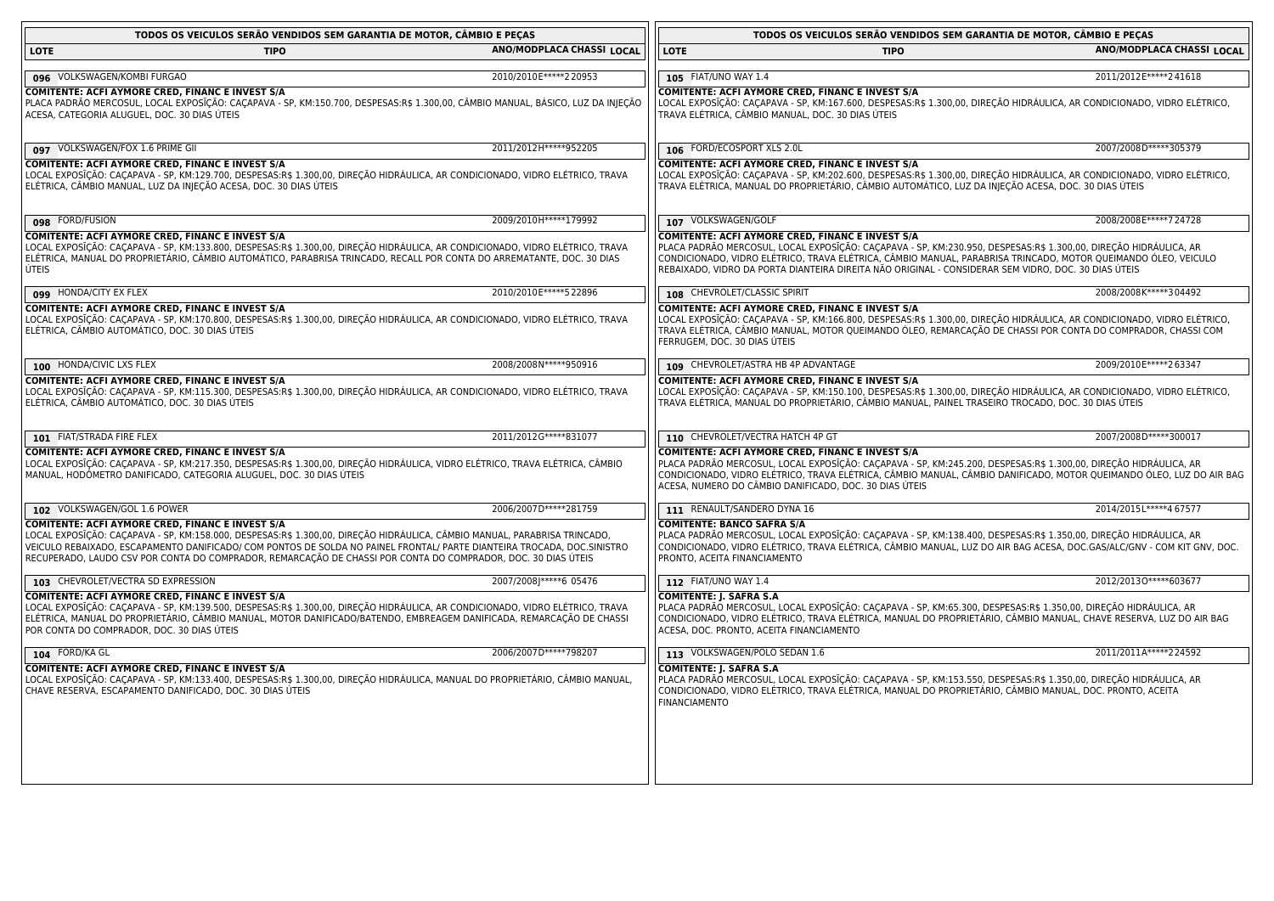| TODOS OS VEICULOS SERÃO VENDIDOS SEM GARANTIA DE MOTOR, CÂMBIO E PEÇAS                                                                                                                                                                                                                                                                                                                                                    |                           | TODOS OS VEICULOS SERÃO VENDIDOS SEM GARANTIA DE MOTOR, CÂMBIO E PEÇAS                                                                                                                                                                                                                                                                                        |                           |  |
|---------------------------------------------------------------------------------------------------------------------------------------------------------------------------------------------------------------------------------------------------------------------------------------------------------------------------------------------------------------------------------------------------------------------------|---------------------------|---------------------------------------------------------------------------------------------------------------------------------------------------------------------------------------------------------------------------------------------------------------------------------------------------------------------------------------------------------------|---------------------------|--|
| <b>LOTE</b><br><b>TIPO</b>                                                                                                                                                                                                                                                                                                                                                                                                | ANO/MODPLACA CHASSI LOCAL | <b>LOTE</b><br><b>TIPO</b>                                                                                                                                                                                                                                                                                                                                    | ANO/MODPLACA CHASSI LOCAL |  |
|                                                                                                                                                                                                                                                                                                                                                                                                                           |                           |                                                                                                                                                                                                                                                                                                                                                               |                           |  |
| 096 VOLKSWAGEN/KOMBI FURGAO                                                                                                                                                                                                                                                                                                                                                                                               | 2010/2010E*****220953     | 105 FIAT/UNO WAY 1.4                                                                                                                                                                                                                                                                                                                                          | 2011/2012 E***** 241618   |  |
| COMITENTE: ACFI AYMORE CRED, FINANC E INVEST S/A<br>PLACA PADRÃO MERCOSUL, LOCAL EXPOSĨÇÃO: CAÇAPAVA - SP, KM:150.700, DESPESAS:R\$ 1.300,00, CÂMBIO MANUAL, BÁSICO, LUZ DA INJEÇÃO<br>ACESA, CATEGORIA ALUGUEL, DOC. 30 DIAS ÚTEIS                                                                                                                                                                                       |                           | <b>COMITENTE: ACFI AYMORE CRED, FINANC E INVEST S/A</b><br>LOCAL EXPOSIÇÃO: CAÇAPAVA - SP, KM:167.600, DESPESAS:R\$ 1.300,00, DIREÇÃO HIDRÁULICA, AR CONDICIONADO, VIDRO ELÉTRICO,<br>TRAVA ELÉTRICA, CÂMBIO MANUAL, DOC. 30 DIAS ÚTEIS                                                                                                                       |                           |  |
| 097 VOLKSWAGEN/FOX 1.6 PRIME GII                                                                                                                                                                                                                                                                                                                                                                                          | 2011/2012 H*****952205    | 106 FORD/ECOSPORT XLS 2.0L                                                                                                                                                                                                                                                                                                                                    | 2007/2008D*****305379     |  |
| <b>COMITENTE: ACFI AYMORE CRED, FINANC E INVEST S/A</b><br>LOCAL EXPOSIÇÃO: CAÇAPAVA - SP, KM:129.700, DESPESAS:R\$ 1.300,00, DIREÇÃO HIDRÁULICA, AR CONDICIONADO, VIDRO ELÉTRICO, TRAVA<br>ELÉTRICA, CÂMBIO MANUAL, LUZ DA INJEÇÃO ACESA, DOC. 30 DIAS ÚTEIS                                                                                                                                                             |                           | COMITENTE: ACFI AYMORE CRED, FINANC E INVEST S/A<br>LOCAL EXPOSIÇÃO: CAÇAPAVA - SP, KM:202.600, DESPESAS:R\$ 1.300,00, DIREÇÃO HIDRÁULICA, AR CONDICIONADO, VIDRO ELÉTRICO,<br>TRAVA ELÉTRICA, MANUAL DO PROPRIETÁRIO, CÂMBIO AUTOMÁTICO, LUZ DA INJEÇÃO ACESA, DOC. 30 DIAS ÚTEIS                                                                            |                           |  |
| 098 FORD/FUSION                                                                                                                                                                                                                                                                                                                                                                                                           | 2009/2010H ***** 179992   | 107 VOLKSWAGEN/GOLF                                                                                                                                                                                                                                                                                                                                           | 2008/2008E*****724728     |  |
| COMITENTE: ACFI AYMORE CRED, FINANC E INVEST S/A                                                                                                                                                                                                                                                                                                                                                                          |                           | <b>COMITENTE: ACFI AYMORE CRED, FINANC E INVEST S/A</b>                                                                                                                                                                                                                                                                                                       |                           |  |
| LOCAL EXPOSĨÇÃO: CAÇAPAVA - SP, KM:133.800, DESPESAS:R\$ 1.300,00, DIREÇÃO HIDRÁULICA, AR CONDICIONADO, VIDRO ELÉTRICO, TRAVA<br>ELÉTRICA, MANUAL DO PROPRIETÁRIO, CÂMBIO AUTOMÁTICO, PARABRISA TRINCADO, RECALL POR CONTA DO ARREMATANTE, DOC. 30 DIAS<br>ÚTEIS                                                                                                                                                          |                           | PLACA PADRÃO MERCOSUL, LOCAL EXPOSIÇÃO: CAÇAPAVA - SP, KM:230.950, DESPESAS:R\$ 1.300,00, DIREÇÃO HIDRÁULICA, AR<br>CONDICIONADO, VIDRO ELÉTRICO, TRAVA ELÉTRICA, CÂMBIO MANUAL, PARABRISA TRINCADO, MOTOR QUEIMANDO ÓLEO, VEICULO<br>REBAIXADO, VIDRO DA PORTA DIANTEIRA DIREITA NÃO ORIGINAL - CONSIDERAR SEM VIDRO, DOC. 30 DIAS ÚTEIS                     |                           |  |
| 099 HONDA/CITY EX FLEX                                                                                                                                                                                                                                                                                                                                                                                                    | 2010/2010E*****522896     | 108 CHEVROLET/CLASSIC SPIRIT                                                                                                                                                                                                                                                                                                                                  | 2008/2008K*****304492     |  |
| <b>COMITENTE: ACFI AYMORE CRED, FINANC E INVEST S/A</b><br>LOCAL EXPOSIÇÃO: CAÇAPAVA - SP, KM:170.800, DESPESAS:R\$ 1.300,00, DIREÇÃO HIDRÁULICA, AR CONDICIONADO, VIDRO ELÉTRICO, TRAVA<br>ELÉTRICA, CÂMBIO AUTOMÁTICO, DOC. 30 DIAS ÚTEIS                                                                                                                                                                               |                           | COMITENTE: ACFI AYMORE CRED, FINANC E INVEST S/A<br>LOCAL EXPOSIÇÃO: CAÇAPAVA - SP, KM:166.800, DESPESAS:R\$ 1.300,00, DIREÇÃO HIDRÁULICA, AR CONDICIONADO, VIDRO ELÉTRICO,<br>TRAVA ELÉTRICA, CÂMBIO MANUAL, MOTOR QUEIMANDO ÓLEO, REMARCAÇÃO DE CHASSI POR CONTA DO COMPRADOR, CHASSI COM<br>FERRUGEM, DOC. 30 DIAS ÚTEIS                                   |                           |  |
| 100 HONDA/CIVIC LXS FLEX                                                                                                                                                                                                                                                                                                                                                                                                  | 2008/2008N*****950916     | 109 CHEVROLET/ASTRA HB 4P ADVANTAGE                                                                                                                                                                                                                                                                                                                           | 2009/2010E*****263347     |  |
| COMITENTE: ACFI AYMORE CRED, FINANC E INVEST S/A<br>LOCAL EXPOSĪÇÃO: CAÇAPAVA - SP, KM:115.300, DESPESAS:R\$ 1.300,00, DIREÇÃO HIDRÁULICA, AR CONDICIONADO, VIDRO ELÉTRICO, TRAVA<br>ELÉTRICA, CÂMBIO AUTOMÁTICO, DOC. 30 DIAS ÚTEIS                                                                                                                                                                                      |                           | <b>COMITENTE: ACFI AYMORE CRED, FINANC E INVEST S/A</b><br>LOCAL EXPOSIÇÃO: CAÇAPAVA - SP, KM:150.100, DESPESAS:R\$ 1.300,00, DIREÇÃO HIDRÁULICA, AR CONDICIONADO, VIDRO ELÉTRICO,<br>TRAVA ELÉTRICA, MANUAL DO PROPRIETÁRIO, CÂMBIO MANUAL, PAINEL TRASEIRO TROCADO, DOC. 30 DIAS ÚTEIS                                                                      |                           |  |
| 101 FIAT/STRADA FIRE FLEX                                                                                                                                                                                                                                                                                                                                                                                                 | 2011/2012 G*****831077    | 110 CHEVROLET/VECTRA HATCH 4P GT                                                                                                                                                                                                                                                                                                                              | 2007/2008D*****300017     |  |
| COMITENTE: ACFI AYMORE CRED, FINANC E INVEST S/A<br>LOCAL EXPOSIÇÃO: CAÇAPAVA - SP, KM:217.350, DESPESAS:R\$ 1.300,00, DIREÇÃO HIDRÁULICA, VIDRO ELÉTRICO, TRAVA ELÉTRICA, CÂMBIO<br>MANUAL, HODÔMETRO DANIFICADO, CATEGORIA ALUGUEL, DOC. 30 DIAS ÚTEIS                                                                                                                                                                  |                           | <b>COMITENTE: ACFI AYMORE CRED, FINANC E INVEST S/A</b><br>PLACA PADRÃO MERCOSUL, LOCAL EXPOSĪÇÃO: CAÇAPAVA - SP, KM:245.200, DESPESAS:R\$ 1.300,00, DIREÇÃO HIDRÁULICA, AR<br>CONDICIONADO, VIDRO ELÉTRICO, TRAVA ELÉTRICA, CÂMBIO MANUAL, CÂMBIO DANIFICADO, MOTOR QUEIMANDO ÓLEO, LUZ DO AIR BAG<br>ACESA, NUMERO DO CÂMBIO DANIFICADO, DOC. 30 DIAS ÚTEIS |                           |  |
| 102 VOLKSWAGEN/GOL 1.6 POWER                                                                                                                                                                                                                                                                                                                                                                                              | 2006/2007D*****281759     | 111 RENAULT/SANDERO DYNA 16                                                                                                                                                                                                                                                                                                                                   | 2014/2015L*****4 67577    |  |
| COMITENTE: ACFI AYMORE CRED, FINANC E INVEST S/A<br>LOCAL EXPOSĪÇÃO: CAÇAPAVA - SP, KM:158.000, DESPESAS:R\$ 1.300,00, DIREÇÃO HIDRÁULICA, CÂMBIO MANUAL, PARABRISA TRINCADO,<br>VEICULO REBAIXADO, ESCAPAMENTO DANIFICADO/ COM PONTOS DE SOLDA NO PAINEL FRONTAL/ PARTE DIANTEIRA TROCADA, DOC.SINISTRO<br>RECUPERADO, LAUDO CSV POR CONTA DO COMPRADOR, REMARCAÇÃO DE CHASSI POR CONTA DO COMPRADOR, DOC. 30 DIAS ÚTEIS |                           | <b>COMITENTE: BANCO SAFRA S/A</b><br>PLACA PADRÃO MERCOSUL, LOCAL EXPOSĨÇÃO: CAÇAPAVA - SP, KM:138.400, DESPESAS:R\$ 1.350,00, DIREÇÃO HIDRÁULICA, AR<br>CONDICIONADO, VIDRO ELÉTRICO, TRAVA ELÉTRICA, CÂMBIO MANUAL, LUZ DO AIR BAG ACESA, DOC.GAS/ALC/GNV - COM KIT GNV, DOC.<br>PRONTO, ACEITA FINANCIAMENTO                                               |                           |  |
| 103 CHEVROLET/VECTRA SD EXPRESSION                                                                                                                                                                                                                                                                                                                                                                                        | 2007/2008J*****6 05476    | 112 FIAT/UNO WAY 1.4                                                                                                                                                                                                                                                                                                                                          | 2012/20130 ***** 603677   |  |
| COMITENTE: ACFI AYMORE CRED, FINANC E INVEST S/A<br>LOCAL EXPOSĪÇÃO: CAÇAPAVA - SP, KM:139.500, DESPESAS:R\$ 1.300,00, DIREÇÃO HIDRÁULICA, AR CONDICIONADO, VIDRO ELÉTRICO, TRAVA<br>ELÉTRICA, MANUAL DO PROPRIETÁRIO, CÂMBIO MANUAL, MOTOR DANIFICADO/BATENDO, EMBREAGEM DANIFICADA, REMARCAÇÃO DE CHASSI<br>POR CONTA DO COMPRADOR, DOC. 30 DIAS ÚTEIS                                                                  |                           | <b>COMITENTE: J. SAFRA S.A</b><br>PLACA PADRÃO MERCOSUL, LOCAL EXPOSIÇÃO: CAÇAPAVA - SP, KM:65.300, DESPESAS:R\$ 1.350,00, DIREÇÃO HIDRÁULICA, AR<br>CONDICIONADO, VIDRO ELÉTRICO, TRAVA ELÉTRICA, MANUAL DO PROPRIETÁRIO, CÂMBIO MANUAL, CHAVE RESERVA, LUZ DO AIR BAG<br>ACESA, DOC. PRONTO, ACEITA FINANCIAMENTO                                           |                           |  |
| 104 FORD/KA GL                                                                                                                                                                                                                                                                                                                                                                                                            | 2006/2007D*****798207     | 113 VOLKSWAGEN/POLO SEDAN 1.6                                                                                                                                                                                                                                                                                                                                 | 2011/2011A*****224592     |  |
| COMITENTE: ACFI AYMORE CRED, FINANC E INVEST S/A<br>LOCAL EXPOSIÇÃO: CAÇAPAVA - SP, KM:133.400, DESPESAS:R\$ 1.300,00, DIREÇÃO HIDRÁULICA, MANUAL DO PROPRIETÁRIO, CÂMBIO MANUAL,<br>CHAVE RESERVA, ESCAPAMENTO DANIFICADO, DOC. 30 DIAS ÚTEIS                                                                                                                                                                            |                           | <b>COMITENTE: J. SAFRA S.A</b><br>PLACA PADRÃO MERCOSUL, LOCAL EXPOSĪÇÃO: CAÇAPAVA - SP, KM:153.550, DESPESAS:R\$ 1.350,00, DIREÇÃO HIDRÁULICA, AR<br>CONDICIONADO, VIDRO ELÉTRICO, TRAVA ELÉTRICA, MANUAL DO PROPRIETÁRIO, CÂMBIO MANUAL, DOC. PRONTO, ACEITA<br><b>FINANCIAMENTO</b>                                                                        |                           |  |
|                                                                                                                                                                                                                                                                                                                                                                                                                           |                           |                                                                                                                                                                                                                                                                                                                                                               |                           |  |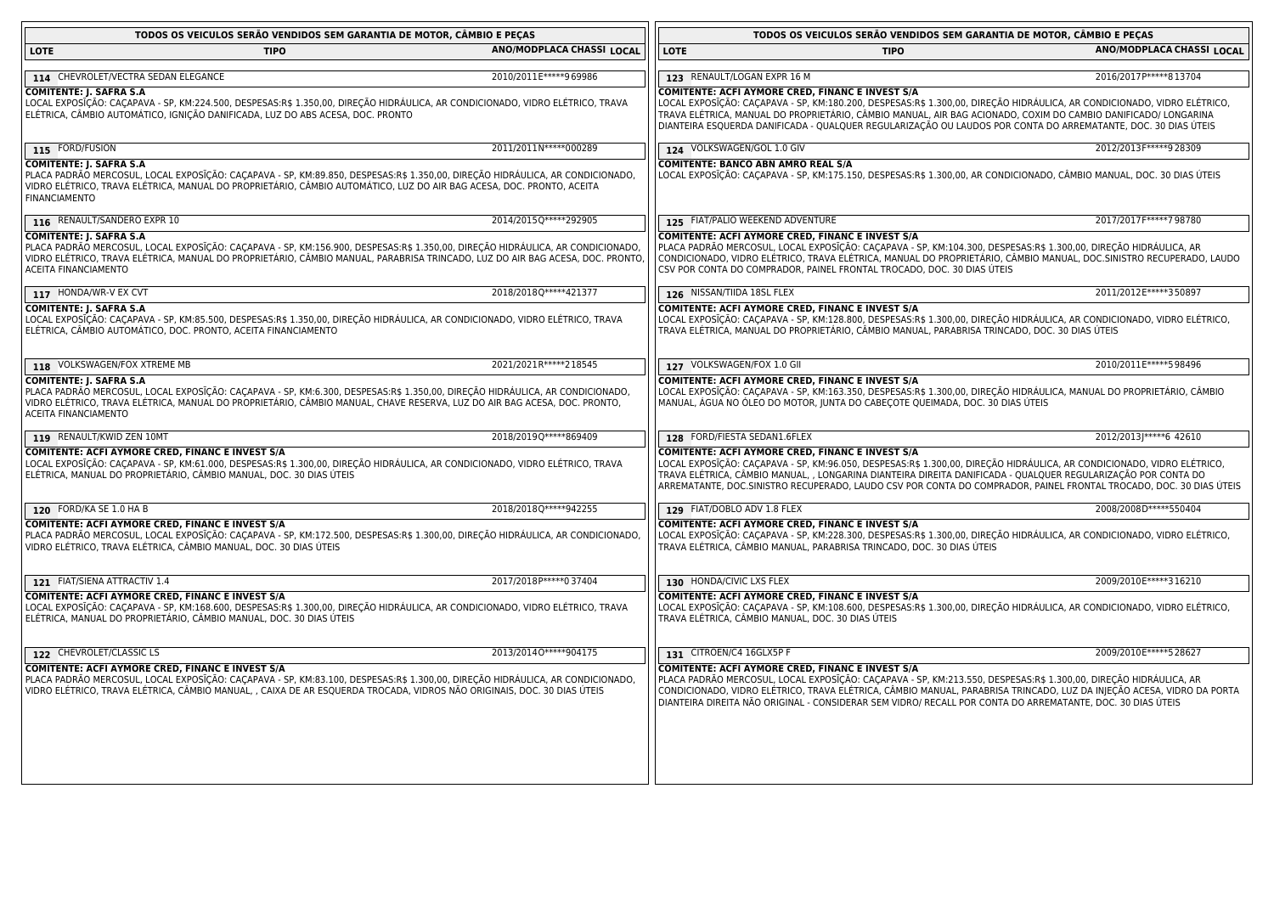| TODOS OS VEICULOS SERÃO VENDIDOS SEM GARANTIA DE MOTOR, CÂMBIO E PEÇAS                                                                                                                                                                                                                                              |                           | TODOS OS VEICULOS SERÃO VENDIDOS SEM GARANTIA DE MOTOR, CÂMBIO E PEÇAS                                                                                                                                                                                                                                                                                                                                                |                           |  |
|---------------------------------------------------------------------------------------------------------------------------------------------------------------------------------------------------------------------------------------------------------------------------------------------------------------------|---------------------------|-----------------------------------------------------------------------------------------------------------------------------------------------------------------------------------------------------------------------------------------------------------------------------------------------------------------------------------------------------------------------------------------------------------------------|---------------------------|--|
| <b>LOTE</b><br><b>TIPO</b>                                                                                                                                                                                                                                                                                          | ANO/MODPLACA CHASSI LOCAL | <b>LOTE</b><br><b>TIPO</b>                                                                                                                                                                                                                                                                                                                                                                                            | ANO/MODPLACA CHASSI LOCAL |  |
| 114 CHEVROLET/VECTRA SEDAN ELEGANCE                                                                                                                                                                                                                                                                                 | 2010/2011E*****969986     | 123 RENAULT/LOGAN EXPR 16 M                                                                                                                                                                                                                                                                                                                                                                                           | 2016/2017P*****813704     |  |
| <b>COMITENTE: J. SAFRA S.A</b><br>LOCAL EXPOSĪÇÃO: CAÇAPAVA - SP, KM:224.500, DESPESAS:R\$ 1.350,00, DIREÇÃO HIDRÁULICA, AR CONDICIONADO, VIDRO ELÉTRICO, TRAVA<br>ELÉTRICA, CÂMBIO AUTOMÁTICO, IGNIÇÃO DANIFICADA, LUZ DO ABS ACESA, DOC. PRONTO                                                                   |                           | <b>COMITENTE: ACFI AYMORE CRED, FINANC E INVEST S/A</b><br>LOCAL EXPOSIÇÃO: CAÇAPAVA - SP, KM:180.200, DESPESAS:R\$ 1.300,00, DIREÇÃO HIDRÁULICA, AR CONDICIONADO, VIDRO ELÉTRICO,<br>TRAVA ELÉTRICA, MANUAL DO PROPRIETÁRIO, CÂMBIO MANUAL, AIR BAG ACIONADO, COXIM DO CAMBIO DANIFICADO/ LONGARINA<br>DIANTEIRA ESQUERDA DANIFICADA - QUALQUER REGULARIZAÇÃO OU LAUDOS POR CONTA DO ARREMATANTE, DOC. 30 DIAS ÚTEIS |                           |  |
| 115 FORD/FUSION                                                                                                                                                                                                                                                                                                     | 2011/2011N*****000289     | 124 VOLKSWAGEN/GOL 1.0 GIV                                                                                                                                                                                                                                                                                                                                                                                            | 2012/2013F*****928309     |  |
| <b>COMITENTE: J. SAFRA S.A</b><br>PLACA PADRÃO MERCOSUL, LOCAL EXPOSĨÇÃO: CAÇAPAVA - SP, KM:89.850, DESPESAS:R\$ 1.350,00, DIREÇÃO HIDRÁULICA, AR CONDICIONADO,<br>VIDRO ELÉTRICO, TRAVA ELÉTRICA, MANUAL DO PROPRIETÁRIO, CÂMBIO AUTOMÁTICO, LUZ DO AIR BAG ACESA, DOC. PRONTO, ACEITA<br><b>FINANCIAMENTO</b>     |                           | <b>COMITENTE: BANCO ABN AMRO REAL S/A</b><br>LOCAL EXPOSIÇÃO: CAÇAPAVA - SP, KM:175.150, DESPESAS:R\$ 1.300,00, AR CONDICIONADO, CÂMBIO MANUAL, DOC. 30 DIAS ÚTEIS                                                                                                                                                                                                                                                    |                           |  |
| 116 RENAULT/SANDERO EXPR 10                                                                                                                                                                                                                                                                                         | 2014/2015Q*****292905     | 125 FIAT/PALIO WEEKEND ADVENTURE                                                                                                                                                                                                                                                                                                                                                                                      | 2017/2017F*****798780     |  |
| COMITENTE: J. SAFRA S.A<br>PLACA PADRÃO MERCOSUL, LOCAL EXPOSIÇÃO: CAÇAPAVA - SP, KM:156.900, DESPESAS:R\$ 1.350,00, DIREÇÃO HIDRAULICA, AR CONDICIONADO,<br>VIDRO ELÉTRICO, TRAVA ELÉTRICA, MANUAL DO PROPRIETÁRIO, CÂMBIO MANUAL, PARABRISA TRINCADO, LUZ DO AIR BAG ACESA, DOC. PRONTO,<br>ACEITA FINANCIAMENTO  |                           | COMITENTE: ACFI AYMORE CRED, FINANC E INVEST S/A<br>PLACA PADRÃO MERCOSUL, LOCAL EXPOSIÇÃO: CAÇAPAVA - SP, KM:104.300, DESPESAS:R\$ 1.300,00, DIREÇÃO HIDRÁULICA, AR<br>CONDICIONADO, VIDRO ELÉTRICO, TRAVA ELÉTRICA, MANUAL DO PROPRIETÁRIO, CÂMBIO MANUAL, DOC.SINISTRO RECUPERADO, LAUDO<br>CSV POR CONTA DO COMPRADOR, PAINEL FRONTAL TROCADO, DOC. 30 DIAS ÚTEIS                                                 |                           |  |
| 117 HONDA/WR-V EX CVT                                                                                                                                                                                                                                                                                               | 2018/2018Q*****421377     | 126 NISSAN/TIIDA 18SL FLEX                                                                                                                                                                                                                                                                                                                                                                                            | 2011/2012 E*****3 50897   |  |
| <b>COMITENTE: J. SAFRA S.A</b><br>LOCAL EXPOSĪÇÃO: CAÇAPAVA - SP, KM:85.500, DESPESAS:R\$ 1.350,00, DIREÇÃO HIDRÁULICA, AR CONDICIONADO, VIDRO ELÉTRICO, TRAVA<br>ELÉTRICA, CÂMBIO AUTOMÁTICO, DOC. PRONTO, ACEITA FINANCIAMENTO                                                                                    |                           | COMITENTE: ACFI AYMORE CRED, FINANC E INVEST S/A<br>LOCAL EXPOSIÇÃO: CAÇAPAVA - SP, KM:128.800, DESPESAS:R\$ 1.300,00, DIREÇÃO HIDRÁULICA, AR CONDICIONADO, VIDRO ELÉTRICO,<br>TRAVA ELÉTRICA, MANUAL DO PROPRIETÁRIO, CÂMBIO MANUAL, PARABRISA TRINCADO, DOC. 30 DIAS ÚTEIS                                                                                                                                          |                           |  |
| 118 VOLKSWAGEN/FOX XTREME MB                                                                                                                                                                                                                                                                                        | 2021/2021R ***** 218545   | 127 VOLKSWAGEN/FOX 1.0 GII                                                                                                                                                                                                                                                                                                                                                                                            | 2010/2011E*****598496     |  |
| <b>COMITENTE: J. SAFRA S.A</b><br>PLACA PADRÃO MERCOSUL, LOCAL EXPOSĨÇÃO: CAÇAPAVA - SP, KM:6.300, DESPESAS:R\$ 1.350,00, DIREÇÃO HIDRÁULICA, AR CONDICIONADO,<br>VIDRO ELÉTRICO, TRAVA ELÉTRICA, MANUAL DO PROPRIETÁRIO, CÂMBIO MANUAL, CHAVE RESERVA, LUZ DO AIR BAG ACESA, DOC. PRONTO,<br>ACEITA FINANCIAMENTO  |                           | COMITENTE: ACFI AYMORE CRED, FINANC E INVEST S/A<br>LOCAL EXPOSIÇÃO: CAÇAPAVA - SP, KM:163.350, DESPESAS:R\$ 1.300,00, DIREÇÃO HIDRÁULICA, MANUAL DO PROPRIETÁRIO, CÂMBIO<br>MANUAL, ÁGUA NO ÓLEO DO MOTOR, JUNTA DO CABEÇOTE QUEIMADA, DOC. 30 DIAS ÚTEIS                                                                                                                                                            |                           |  |
| 119 RENAULT/KWID ZEN 10MT                                                                                                                                                                                                                                                                                           | 2018/2019Q*****869409     | 128 FORD/FIESTA SEDAN1.6FLEX                                                                                                                                                                                                                                                                                                                                                                                          | 2012/2013)*****6 42610    |  |
| COMITENTE: ACFI AYMORE CRED, FINANC E INVEST S/A<br>LOCAL EXPOSÍCÃO: CACAPAVA - SP, KM:61.000, DESPESAS:R\$ 1.300,00, DIRECÃO HIDRÁULICA, AR CONDICIONADO, VIDRO ELÉTRICO, TRAVA<br>ELÉTRICA, MANUAL DO PROPRIETÁRIO, CÂMBIO MANUAL, DOC. 30 DIAS ÚTEIS                                                             |                           | COMITENTE: ACFI AYMORE CRED, FINANC E INVEST S/A<br>LOCAL EXPOSICÃO: CACAPAVA - SP, KM:96.050, DESPESAS:R\$ 1.300,00, DIRECÃO HIDRÁULICA, AR CONDICIONADO, VIDRO ELÉTRICO,<br>TRAVA ELÉTRICA, CÂMBIO MANUAL, , LONGARINA DIANTEIRA DIREITA DANIFICADA - QUALQUER REGULARIZAÇÃO POR CONTA DO<br>ARREMATANTE, DOC.SINISTRO RECUPERADO, LAUDO CSV POR CONTA DO COMPRADOR, PAINEL FRONTAL TROCADO, DOC. 30 DIAS ÚTEIS     |                           |  |
| 120 FORD/KA SE 1.0 HA B                                                                                                                                                                                                                                                                                             | 2018/2018Q*****942255     | 129 FIAT/DOBLO ADV 1.8 FLEX                                                                                                                                                                                                                                                                                                                                                                                           | 2008/2008D*****550404     |  |
| COMITENTE: ACFI AYMORE CRED, FINANC E INVEST S/A<br>PLACA PADRÃO MERCOSUL, LOCAL EXPOSIÇÃO: CAÇAPAVA - SP, KM:172.500, DESPESAS:R\$ 1.300,00, DIREÇÃO HIDRÁULICA, AR CONDICIONADO,<br>VIDRO ELÉTRICO, TRAVA ELÉTRICA, CÂMBIO MANUAL, DOC. 30 DIAS ÚTEIS                                                             |                           | COMITENTE: ACFI AYMORE CRED, FINANC E INVEST S/A<br>LOCAL EXPOSIÇÃO: CAÇAPAVA - SP, KM:228.300, DESPESAS:R\$ 1.300,00, DIREÇÃO HIDRÁULICA, AR CONDICIONADO, VIDRO ELÉTRICO,<br>TRAVA ELÉTRICA, CÂMBIO MANUAL, PARABRISA TRINCADO, DOC. 30 DIAS ÚTEIS                                                                                                                                                                  |                           |  |
| 121 FIAT/SIENA ATTRACTIV 1.4                                                                                                                                                                                                                                                                                        | 2017/2018 P***** 037404   | 130 HONDA/CIVIC LXS FLEX                                                                                                                                                                                                                                                                                                                                                                                              | 2009/2010E ***** 316210   |  |
| <b>COMITENTE: ACFI AYMORE CRED, FINANC E INVEST S/A</b><br>LOCAL EXPOSĪÇÃO: CAÇAPAVA - SP, KM:168.600, DESPESAS:R\$ 1.300,00, DIREÇÃO HIDRÁULICA, AR CONDICIONADO, VIDRO ELÉTRICO, TRAVA<br>ELÉTRICA, MANUAL DO PROPRIETÁRIO, CÂMBIO MANUAL, DOC. 30 DIAS ÚTEIS                                                     |                           | COMITENTE: ACFI AYMORE CRED, FINANC E INVEST S/A<br>LOCAL EXPOSIÇÃO: CAÇAPAVA - SP, KM:108.600, DESPESAS:R\$ 1.300,00, DIREÇÃO HIDRÁULICA, AR CONDICIONADO, VIDRO ELÉTRICO,<br>TRAVA ELÉTRICA, CÂMBIO MANUAL, DOC. 30 DIAS ÚTEIS                                                                                                                                                                                      |                           |  |
| 122 CHEVROLET/CLASSIC LS                                                                                                                                                                                                                                                                                            | 2013/20140 ***** 904175   | 131 CITROEN/C4 16GLX5P F                                                                                                                                                                                                                                                                                                                                                                                              | 2009/2010E*****528627     |  |
| <b>COMITENTE: ACFI AYMORE CRED, FINANC E INVEST S/A</b><br>PLACA PADRÃO MERCOSUL, LOCAL EXPOSIÇÃO: CAÇAPAVA - SP, KM:83.100, DESPESAS:R\$ 1.300,00, DIREÇÃO HIDRAULICA, AR CONDICIONADO,<br>VIDRO ELÉTRICO, TRAVA ELÉTRICA, CÂMBIO MANUAL, , CAIXA DE AR ESQUERDA TROCADA, VIDROS NÃO ORIGINAIS, DOC. 30 DIAS ÚTEIS |                           | COMITENTE: ACFI AYMORE CRED, FINANC E INVEST S/A<br>PLACA PADRÃO MERCOSUL, LOCAL EXPOSĪÇÃO: CAÇAPAVA - SP, KM:213.550, DESPESAS:R\$ 1.300,00, DIREÇÃO HIDRAULICA, AR<br>CONDICIONADO, VIDRO ELÉTRICO, TRAVA ELÉTRICA, CÂMBIO MANUAL, PARABRISA TRINCADO, LUZ DA INJEÇÃO ACESA, VIDRO DA PORTA<br>DIANTEIRA DIREITA NÃO ORIGINAL - CONSIDERAR SEM VIDRO/ RECALL POR CONTA DO ARREMATANTE, DOC. 30 DIAS ÚTEIS           |                           |  |
|                                                                                                                                                                                                                                                                                                                     |                           |                                                                                                                                                                                                                                                                                                                                                                                                                       |                           |  |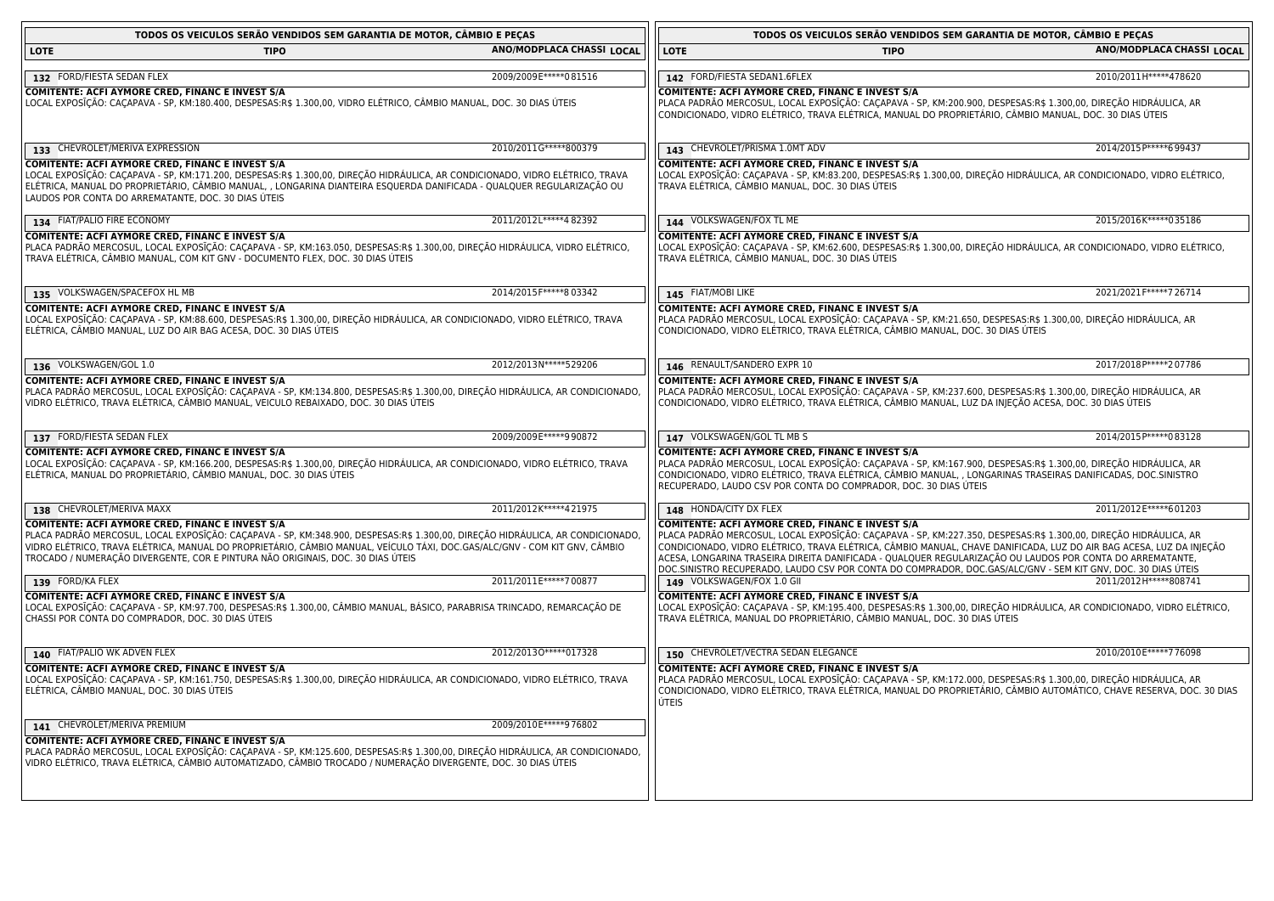| TODOS OS VEICULOS SERÃO VENDIDOS SEM GARANTIA DE MOTOR, CAMBIO E PEÇAS                                                                                                                                                                                                                                                                                                                              |                           | TODOS OS VEICULOS SERÃO VENDIDOS SEM GARANTIA DE MOTOR, CAMBIO E PEÇAS                                                                                                                                                                                                                                                                                                                                                                                                                                                   |                           |  |
|-----------------------------------------------------------------------------------------------------------------------------------------------------------------------------------------------------------------------------------------------------------------------------------------------------------------------------------------------------------------------------------------------------|---------------------------|--------------------------------------------------------------------------------------------------------------------------------------------------------------------------------------------------------------------------------------------------------------------------------------------------------------------------------------------------------------------------------------------------------------------------------------------------------------------------------------------------------------------------|---------------------------|--|
| <b>LOTE</b><br><b>TIPO</b>                                                                                                                                                                                                                                                                                                                                                                          | ANO/MODPLACA CHASSI LOCAL | <b>LOTE</b><br><b>TIPO</b>                                                                                                                                                                                                                                                                                                                                                                                                                                                                                               | ANO/MODPLACA CHASSI LOCAL |  |
|                                                                                                                                                                                                                                                                                                                                                                                                     |                           |                                                                                                                                                                                                                                                                                                                                                                                                                                                                                                                          |                           |  |
| 132 FORD/FIESTA SEDAN FLEX                                                                                                                                                                                                                                                                                                                                                                          | 2009/2009E*****081516     | 142 FORD/FIESTA SEDAN1.6FLEX                                                                                                                                                                                                                                                                                                                                                                                                                                                                                             | 2010/2011H*****478620     |  |
| COMITENTE: ACFI AYMORE CRED, FINANC E INVEST S/A<br>LOCAL EXPOSIÇÃO: CAÇAPAVA - SP, KM:180.400, DESPESAS:R\$ 1.300,00, VIDRO ELÉTRICO, CÂMBIO MANUAL, DOC. 30 DIAS ÚTEIS                                                                                                                                                                                                                            |                           | <b>COMITENTE: ACFI AYMORE CRED, FINANC E INVEST S/A</b><br>PLACA PADRÃO MERCOSUL, LOCAL EXPOSIÇÃO: CAÇAPAVA - SP, KM:200.900, DESPESAS:R\$ 1.300,00, DIREÇÃO HIDRÁULICA, AR<br>CONDICIONADO, VIDRO ELÉTRICO, TRAVA ELÉTRICA, MANUAL DO PROPRIETÁRIO, CÂMBIO MANUAL, DOC. 30 DIAS ÚTEIS                                                                                                                                                                                                                                   |                           |  |
| 133 CHEVROLET/MERIVA EXPRESSION                                                                                                                                                                                                                                                                                                                                                                     | 2010/2011G*****800379     | 143 CHEVROLET/PRISMA 1.0MT ADV                                                                                                                                                                                                                                                                                                                                                                                                                                                                                           | 2014/2015 P*****6 99437   |  |
| COMITENTE: ACFI AYMORE CRED, FINANC E INVEST S/A<br>LOCAL EXPOSIÇÃO: CAÇAPAVA - SP, KM:171.200, DESPESAS:R\$ 1.300,00, DIREÇÃO HIDRÁULICA, AR CONDICIONADO, VIDRO ELÉTRICO, TRAVA<br>ELÉTRICA, MANUAL DO PROPRIETÁRIO, CÂMBIO MANUAL, , LONGARINA DIANTEIRA ESQUERDA DANIFICADA - QUALQUER REGULARIZAÇÃO OU<br>LAUDOS POR CONTA DO ARREMATANTE, DOC. 30 DIAS ÚTEIS                                  |                           | COMITENTE: ACFI AYMORE CRED, FINANC E INVEST S/A<br>LOCAL EXPOSĨÇÃO: CAÇAPAVA - SP, KM:83.200, DESPESAS:R\$ 1.300,00, DIREÇÃO HIDRÁULICA, AR CONDICIONADO, VIDRO ELÉTRICO,<br>TRAVA ELÉTRICA, CÂMBIO MANUAL, DOC. 30 DIAS ÚTEIS                                                                                                                                                                                                                                                                                          |                           |  |
| 134 FIAT/PALIO FIRE ECONOMY                                                                                                                                                                                                                                                                                                                                                                         | 2011/2012L*****482392     | 144 VOLKSWAGEN/FOX TL ME                                                                                                                                                                                                                                                                                                                                                                                                                                                                                                 | 2015/2016K*****035186     |  |
| COMITENTE: ACFI AYMORE CRED, FINANC E INVEST S/A<br>PLACA PADRÃO MERCOSUL, LOCAL EXPOSĪÇÃO: CAÇAPAVA - SP, KM:163.050, DESPESAS:R\$ 1.300,00, DIREÇÃO HIDRÁULICA, VIDRO ELÉTRICO,<br>TRAVA ELÉTRICA, CÂMBIO MANUAL, COM KIT GNV - DOCUMENTO FLEX, DOC. 30 DIAS ÚTEIS                                                                                                                                |                           | COMITENTE: ACFI AYMORE CRED, FINANC E INVEST S/A<br>LOCAL EXPOSIÇÃO: CAÇAPAVA - SP, KM:62.600, DESPESAS:R\$ 1.300,00, DIREÇÃO HIDRÁULICA, AR CONDICIONADO, VIDRO ELÉTRICO,<br>TRAVA ELÉTRICA, CÂMBIO MANUAL, DOC. 30 DIAS ÚTEIS                                                                                                                                                                                                                                                                                          |                           |  |
| 135 VOLKSWAGEN/SPACEFOX HL MB                                                                                                                                                                                                                                                                                                                                                                       | 2014/2015 F*****8 03342   | 145 FIAT/MOBI LIKE                                                                                                                                                                                                                                                                                                                                                                                                                                                                                                       | 2021/2021 F***** 7 26714  |  |
| COMITENTE: ACFI AYMORE CRED, FINANC E INVEST S/A<br>LOCAL EXPOSIÇÃO: CAÇAPAVA - SP, KM:88.600, DESPESAS:R\$ 1.300,00, DIREÇÃO HIDRÁULICA, AR CONDICIONADO, VIDRO ELÉTRICO, TRAVA<br>ELÉTRICA, CÂMBIO MANUAL, LUZ DO AIR BAG ACESA, DOC. 30 DIAS ÚTEIS                                                                                                                                               |                           | COMITENTE: ACFI AYMORE CRED, FINANC E INVEST S/A<br>PLACA PADRÃO MERCOSUL, LOCAL EXPOSIÇÃO: CAÇAPAVA - SP, KM:21.650, DESPESAS:R\$ 1.300,00, DIREÇÃO HIDRÁULICA, AR<br>CONDICIONADO, VIDRO ELÉTRICO, TRAVA ELÉTRICA, CÂMBIO MANUAL, DOC. 30 DIAS ÚTEIS                                                                                                                                                                                                                                                                   |                           |  |
| 136 VOLKSWAGEN/GOL 1.0                                                                                                                                                                                                                                                                                                                                                                              | 2012/2013N*****529206     | 146 RENAULT/SANDERO EXPR 10                                                                                                                                                                                                                                                                                                                                                                                                                                                                                              | 2017/2018P*****207786     |  |
| <b>COMITENTE: ACFI AYMORE CRED, FINANC E INVEST S/A</b><br>PLACA PADRÃO MERCOSUL, LOCAL EXPOSIÇÃO: CAÇAPAVA - SP, KM:134.800, DESPESAS:R\$ 1.300,00, DIREÇÃO HIDRÁULICA, AR CONDICIONADO,<br>VIDRO ELÉTRICO, TRAVA ELÉTRICA, CÂMBIO MANUAL, VEICULO REBAIXADO, DOC. 30 DIAS ÚTEIS                                                                                                                   |                           | COMITENTE: ACFI AYMORE CRED, FINANC E INVEST S/A<br>PLACA PADRÃO MERCOSUL, LOCAL EXPOSIÇÃO: CAÇAPAVA - SP, KM:237.600, DESPESAS:R\$ 1.300,00, DIREÇÃO HIDRÁULICA, AR<br>CONDICIONADO, VIDRO ELÉTRICO, TRAVA ELÉTRICA, CÂMBIO MANUAL, LUZ DA INJEÇÃO ACESA, DOC. 30 DIAS ÚTEIS                                                                                                                                                                                                                                            |                           |  |
| 137 FORD/FIESTA SEDAN FLEX                                                                                                                                                                                                                                                                                                                                                                          | 2009/2009 E*****9 90872   | 147 VOLKSWAGEN/GOL TL MB S                                                                                                                                                                                                                                                                                                                                                                                                                                                                                               | 2014/2015 P***** 083128   |  |
| COMITENTE: ACFI AYMORE CRED, FINANC E INVEST S/A<br>LOCAL EXPOSĪÇÃO: CAÇAPAVA - SP, KM:166.200, DESPESAS:R\$ 1.300,00, DIREÇÃO HIDRÁULICA, AR CONDICIONADO, VIDRO ELÉTRICO, TRAVA<br>ELÉTRICA, MANUAL DO PROPRIETÁRIO, CÂMBIO MANUAL, DOC. 30 DIAS ÚTEIS                                                                                                                                            |                           | COMITENTE: ACFI AYMORE CRED, FINANC E INVEST S/A<br>PLACA PADRÃO MERCOSUL, LOCAL EXPOSIÇÃO: CAÇAPAVA - SP, KM:167.900, DESPESAS:R\$ 1.300,00, DIREÇÃO HIDRÁULICA, AR<br>CONDICIONADO, VIDRO ELÉTRICO, TRAVA ELÉTRICA, CÂMBIO MANUAL, , LONGARINAS TRASEIRAS DANIFICADAS, DOC.SINISTRO<br>RECUPERADO, LAUDO CSV POR CONTA DO COMPRADOR, DOC. 30 DIAS ÚTEIS                                                                                                                                                                |                           |  |
| 138 CHEVROLET/MERIVA MAXX                                                                                                                                                                                                                                                                                                                                                                           | 2011/2012 K*****4 21975   | 148 HONDA/CITY DX FLEX                                                                                                                                                                                                                                                                                                                                                                                                                                                                                                   | 2011/2012 E*****601203    |  |
| COMITENTE: ACFI AYMORE CRED, FINANC E INVEST S/A<br>PLACA PADRÃO MERCOSUL, LOCAL EXPOSIÇÃO: CAÇAPAVA - SP, KM:348.900, DESPESAS:R\$ 1.300,00, DIREÇÃO HIDRÁULICA, AR CONDICIONADO,<br>VIDRO ELÉTRICO, TRAVA ELÉTRICA, MANUAL DO PROPRIETÁRIO, CÂMBIO MANUAL, VEÍCULO TÁXI, DOC.GAS/ALC/GNV - COM KIT GNV, CÂMBIO<br>TROCADO / NUMERAÇÃO DIVERGENTE, COR E PINTURA NÃO ORIGINAIS, DOC. 30 DIAS ÚTEIS |                           | COMITENTE: ACFI AYMORE CRED, FINANC E INVEST S/A<br>PLACA PADRÃO MERCOSUL, LOCAL EXPOSĪÇÃO: CAÇAPAVA - SP, KM:227.350, DESPESAS:R\$ 1.300,00, DIREÇÃO HIDRÁULICA, AR<br>CONDICIONADO, VIDRO ELÉTRICO, TRAVA ELÉTRICA, CÂMBIO MANUAL, CHAVE DANIFICADA, LUZ DO AIR BAG ACESA, LUZ DA INJEÇÃO<br>ACESA, LONGARINA TRASEIRA DIREITA DANIFICADA - QUALQUER REGULARIZAÇÃO OU LAUDOS POR CONTA DO ARREMATANTE,<br>DOC.SINISTRO RECUPERADO, LAUDO CSV POR CONTA DO COMPRADOR, DOC.GAS/ALC/GNV - SEM KIT GNV, DOC. 30 DIAS ÚTEIS |                           |  |
| 139 FORD/KA FLEX                                                                                                                                                                                                                                                                                                                                                                                    | 2011/2011 E*****7 00877   | 149 VOLKSWAGEN/FOX 1.0 GII                                                                                                                                                                                                                                                                                                                                                                                                                                                                                               | 2011/2012 H ***** 808741  |  |
| <b>COMITENTE: ACFI AYMORE CRED, FINANC E INVEST S/A</b><br>LOCAL EXPOSĪÇÃO: CAÇAPAVA - SP, KM:97.700, DESPESAS:R\$ 1.300,00, CÂMBIO MANUAL, BÁSICO, PARABRISA TRINCADO, REMARCAÇÃO DE<br>CHASSI POR CONTA DO COMPRADOR, DOC. 30 DIAS ÚTEIS                                                                                                                                                          |                           | <b>COMITENTE: ACFI AYMORE CRED, FINANC E INVEST S/A</b><br>LOCAL EXPOSIÇÃO: CAÇAPAVA - SP, KM:195.400, DESPESAS:R\$ 1.300,00, DIREÇÃO HIDRÁULICA, AR CONDICIONADO, VIDRO ELÉTRICO,<br>TRAVA ELÉTRICA, MANUAL DO PROPRIETÁRIO, CÂMBIO MANUAL, DOC. 30 DIAS ÚTEIS                                                                                                                                                                                                                                                          |                           |  |
| 140 FIAT/PALIO WK ADVEN FLEX                                                                                                                                                                                                                                                                                                                                                                        | 2012/20130 ***** 017328   | 150 CHEVROLET/VECTRA SEDAN ELEGANCE                                                                                                                                                                                                                                                                                                                                                                                                                                                                                      | 2010/2010E*****776098     |  |
| <b>COMITENTE: ACFI AYMORE CRED, FINANC E INVEST S/A</b><br>LOCAL EXPOSĪÇÃO: CAÇAPAVA - SP, KM:161.750, DESPESAS:R\$ 1.300,00, DIREÇÃO HIDRÁULICA, AR CONDICIONADO, VIDRO ELÉTRICO, TRAVA<br>ELÉTRICA, CÂMBIO MANUAL, DOC. 30 DIAS ÚTEIS                                                                                                                                                             |                           | COMITENTE: ACFI AYMORE CRED, FINANC E INVEST S/A<br>PLACA PADRÃO MERCOSUL, LOCAL EXPOSIÇÃO: CAÇAPAVA - SP, KM:172.000, DESPESAS:R\$ 1.300,00, DIREÇÃO HIDRÁULICA, AR<br>CONDICIONADO, VIDRO ELÉTRICO, TRAVA ELÉTRICA, MANUAL DO PROPRIETÁRIO, CÂMBIO AUTOMÁTICO, CHAVE RESERVA, DOC. 30 DIAS<br>ÚTEIS                                                                                                                                                                                                                    |                           |  |
| 141 CHEVROLET/MERIVA PREMIUM                                                                                                                                                                                                                                                                                                                                                                        | 2009/2010E*****976802     |                                                                                                                                                                                                                                                                                                                                                                                                                                                                                                                          |                           |  |
| COMITENTE: ACFI AYMORE CRED, FINANC E INVEST S/A<br>PLACA PADRÃO MERCOSUL, LOCAL EXPOSIÇÃO: CAÇAPAVA - SP, KM:125.600, DESPESAS:R\$ 1.300,00, DIREÇÃO HIDRÁULICA, AR CONDICIONADO,<br>VIDRO ELÉTRICO, TRAVA ELÉTRICA, CÂMBIO AUTOMATIZADO, CÂMBIO TROCADO / NUMERAÇÃO DIVERGENTE, DOC. 30 DIAS ÚTEIS                                                                                                |                           |                                                                                                                                                                                                                                                                                                                                                                                                                                                                                                                          |                           |  |